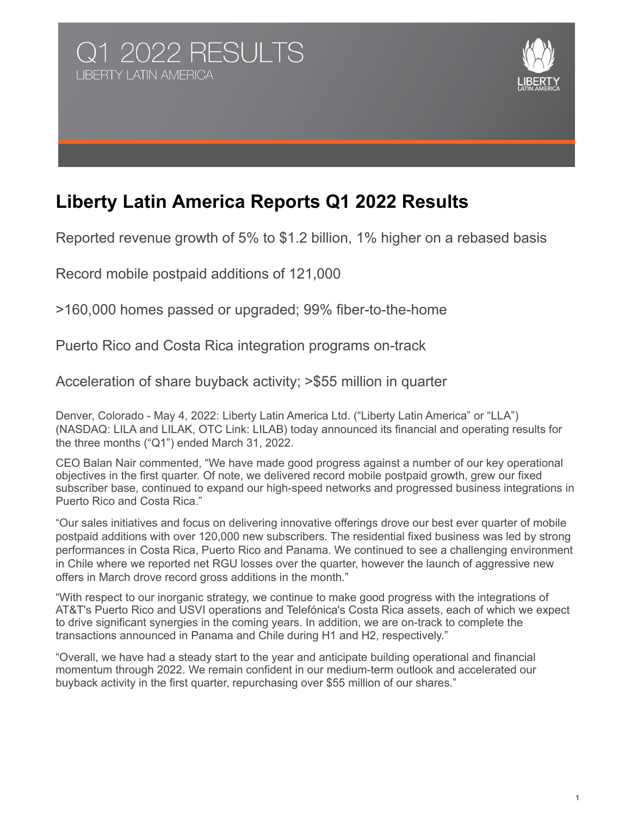



# **Liberty Latin America Reports Q1 2022 Results**

Reported revenue growth of 5% to \$1.2 billion, 1% higher on a rebased basis

Record mobile postpaid additions of 121,000

>160,000 homes passed or upgraded; 99% fiber-to-the-home

Puerto Rico and Costa Rica integration programs on-track

Acceleration of share buyback activity; >\$55 million in quarter

Denver, Colorado - May 4, 2022: Liberty Latin America Ltd. ("Liberty Latin America" or "LLA") (NASDAQ: LILA and LILAK, OTC Link: LILAB) today announced its financial and operating results for the three months ("Q1") ended March 31, 2022.

CEO Balan Nair commented, "We have made good progress against a number of our key operational objectives in the first quarter. Of note, we delivered record mobile postpaid growth, grew our fixed subscriber base, continued to expand our high-speed networks and progressed business integrations in Puerto Rico and Costa Rica."

"Our sales initiatives and focus on delivering innovative offerings drove our best ever quarter of mobile postpaid additions with over 120,000 new subscribers. The residential fixed business was led by strong performances in Costa Rica, Puerto Rico and Panama. We continued to see a challenging environment in Chile where we reported net RGU losses over the quarter, however the launch of aggressive new offers in March drove record gross additions in the month."

"With respect to our inorganic strategy, we continue to make good progress with the integrations of AT&T's Puerto Rico and USVI operations and Telefónica's Costa Rica assets, each of which we expect to drive significant synergies in the coming years. In addition, we are on-track to complete the transactions announced in Panama and Chile during H1 and H2, respectively."

"Overall, we have had a steady start to the year and anticipate building operational and financial momentum through 2022. We remain confident in our medium-term outlook and accelerated our buyback activity in the first quarter, repurchasing over \$55 million of our shares."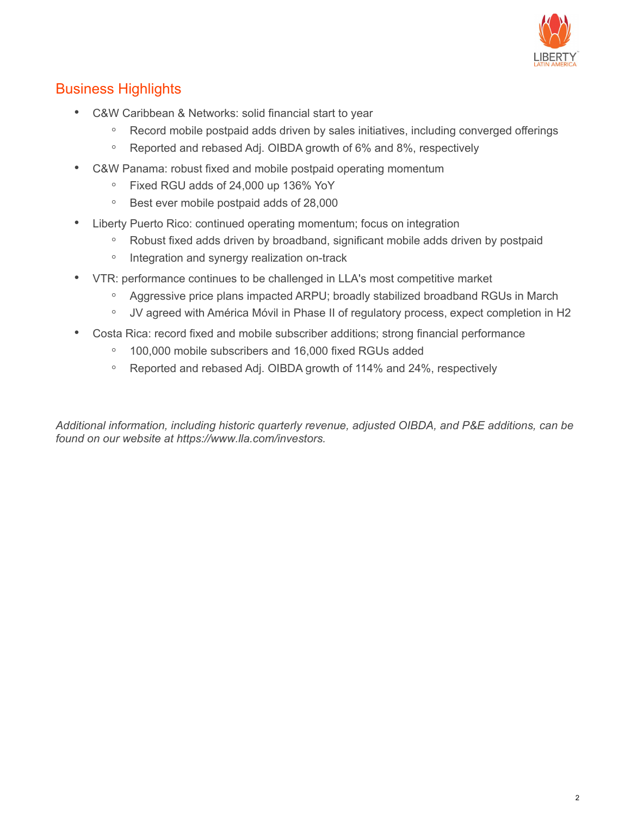

## Business Highlights

- C&W Caribbean & Networks: solid financial start to year
	- Record mobile postpaid adds driven by sales initiatives, including converged offerings
	- Reported and rebased Adj. OIBDA growth of 6% and 8%, respectively
- C&W Panama: robust fixed and mobile postpaid operating momentum
	- Fixed RGU adds of 24,000 up 136% YoY
	- Best ever mobile postpaid adds of 28,000
- Liberty Puerto Rico: continued operating momentum; focus on integration
	- Robust fixed adds driven by broadband, significant mobile adds driven by postpaid
	- Integration and synergy realization on-track
- VTR: performance continues to be challenged in LLA's most competitive market
	- Aggressive price plans impacted ARPU; broadly stabilized broadband RGUs in March
	- JV agreed with América Móvil in Phase II of regulatory process, expect completion in H2
- Costa Rica: record fixed and mobile subscriber additions; strong financial performance
	- 100,000 mobile subscribers and 16,000 fixed RGUs added
	- Reported and rebased Adj. OIBDA growth of 114% and 24%, respectively

*Additional information, including historic quarterly revenue, adjusted OIBDA, and P&E additions, can be found on our website at https://www.lla.com/investors.*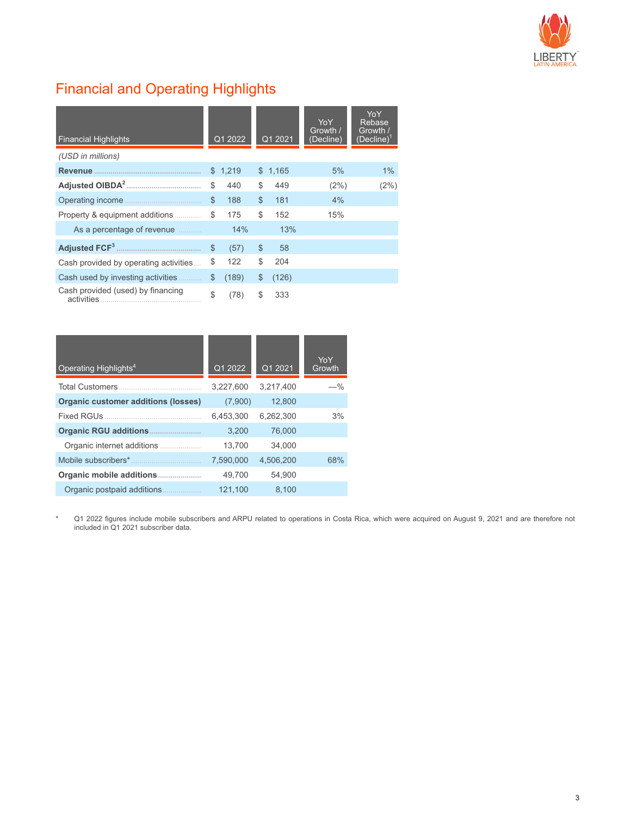

# Financial and Operating Highlights

| <b>Financial Highlights</b>                     |              | Q1 2022 |              | $\overline{Q12021}$ | <b>YoY</b><br>Growth /<br>(Decline) | YoY<br>Rebase<br>Growth /<br>$(Decline)^T$ |
|-------------------------------------------------|--------------|---------|--------------|---------------------|-------------------------------------|--------------------------------------------|
| (USD in millions)                               |              |         |              |                     |                                     |                                            |
| <b>Revenue</b>                                  | $\mathbb{S}$ | 1.219   | $\mathbb{S}$ | 1.165               | 5%                                  | $1\%$                                      |
|                                                 | \$           | 440     | \$           | 449                 | (2%)                                | (2%)                                       |
|                                                 | $\mathbb{S}$ | 188     | $\mathbb{S}$ | 181                 | 4%                                  |                                            |
| Property & equipment additions                  | \$           | 175     | \$           | 152                 | 15%                                 |                                            |
| As a percentage of revenue                      |              | 14%     |              | 13%                 |                                     |                                            |
|                                                 | \$           | (57)    | \$           | 58                  |                                     |                                            |
| Cash provided by operating activities           | \$           | 122     | \$           | 204                 |                                     |                                            |
| Cash used by investing activities               | \$           | (189)   | \$           | (126)               |                                     |                                            |
| Cash provided (used) by financing<br>activities | \$           | (78)    | \$           | 333                 |                                     |                                            |

| Operating Highlights <sup>4</sup>          | Q1 2022   | Q1 2021   | <b>YoY</b><br>Growth |
|--------------------------------------------|-----------|-----------|----------------------|
| <b>Total Customers</b>                     | 3,227,600 | 3.217.400 | —%                   |
| <b>Organic customer additions (losses)</b> | (7,900)   | 12.800    |                      |
| <b>Fixed RGUs</b>                          | 6,453,300 | 6.262.300 | 3%                   |
| <b>Organic RGU additions</b>               | 3,200     | 76,000    |                      |
| Organic internet additions                 | 13,700    | 34.000    |                      |
| Mobile subscribers*                        | 7,590,000 | 4,506,200 | 68%                  |
| Organic mobile additions                   | 49.700    | 54.900    |                      |
| Organic postpaid additions                 | 121.100   | 8.100     |                      |

\* Q1 2022 figures include mobile subscribers and ARPU related to operations in Costa Rica, which were acquired on August 9, 2021 and are therefore not included in Q1 2021 subscriber data.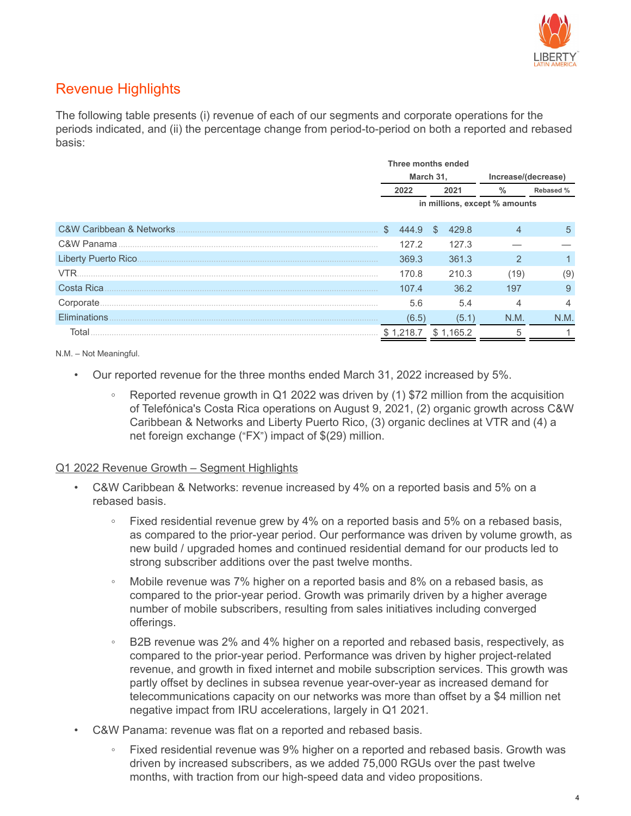

## Revenue Highlights

The following table presents (i) revenue of each of our segments and corporate operations for the periods indicated, and (ii) the percentage change from period-to-period on both a reported and rebased basis:

|                          | Three months ended            |           |     |           |                     |      |               |
|--------------------------|-------------------------------|-----------|-----|-----------|---------------------|------|---------------|
|                          |                               | March 31, |     |           | Increase/(decrease) |      |               |
|                          | 2022                          |           |     | 2021      | $\frac{0}{2}$       |      | Rebased %     |
|                          | in millions, except % amounts |           |     |           |                     |      |               |
| C&W Caribbean & Networks | \$.                           | 444.9     | \$. | 429.8     |                     |      | $\mathfrak h$ |
| C&W Panama               |                               | 127.2     |     | 127.3     |                     |      |               |
| Liberty Puerto Rico      |                               | 369.3     |     | 361.3     |                     | 2    |               |
| <b>VTR</b>               |                               | 170.8     |     | 210.3     |                     | (19) | (9)           |
| Costa Rica               |                               | 107.4     |     | 36.2      |                     | 197  | 9             |
| Corporate.               |                               | 5.6       |     | 5.4       |                     |      |               |
| Eliminations             |                               | (6.5)     |     | (5.1)     |                     | N.M. | N.M.          |
| Total                    |                               | 1.218.7   |     | \$1.165.2 |                     | 5    |               |

N.M. – Not Meaningful.

- Our reported revenue for the three months ended March 31, 2022 increased by 5%.
	- **◦** Reported revenue growth in Q1 2022 was driven by (1) \$72 million from the acquisition of Telefónica's Costa Rica operations on August 9, 2021, (2) organic growth across C&W Caribbean & Networks and Liberty Puerto Rico, (3) organic declines at VTR and (4) a net foreign exchange ("FX") impact of \$(29) million.

#### Q1 2022 Revenue Growth – Segment Highlights

- C&W Caribbean & Networks: revenue increased by 4% on a reported basis and 5% on a rebased basis.
	- **◦** Fixed residential revenue grew by 4% on a reported basis and 5% on a rebased basis, as compared to the prior-year period. Our performance was driven by volume growth, as new build / upgraded homes and continued residential demand for our products led to strong subscriber additions over the past twelve months.
	- Mobile revenue was 7% higher on a reported basis and 8% on a rebased basis, as compared to the prior-year period. Growth was primarily driven by a higher average number of mobile subscribers, resulting from sales initiatives including converged offerings.
	- B2B revenue was 2% and 4% higher on a reported and rebased basis, respectively, as compared to the prior-year period. Performance was driven by higher project-related revenue, and growth in fixed internet and mobile subscription services. This growth was partly offset by declines in subsea revenue year-over-year as increased demand for telecommunications capacity on our networks was more than offset by a \$4 million net negative impact from IRU accelerations, largely in Q1 2021.
- C&W Panama: revenue was flat on a reported and rebased basis.
	- Fixed residential revenue was 9% higher on a reported and rebased basis. Growth was driven by increased subscribers, as we added 75,000 RGUs over the past twelve months, with traction from our high-speed data and video propositions.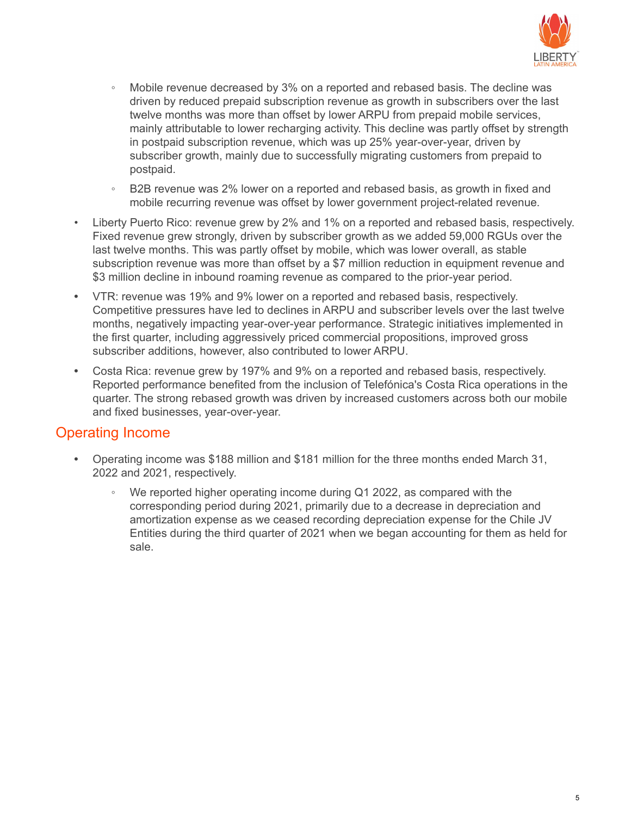

- Mobile revenue decreased by 3% on a reported and rebased basis. The decline was driven by reduced prepaid subscription revenue as growth in subscribers over the last twelve months was more than offset by lower ARPU from prepaid mobile services, mainly attributable to lower recharging activity. This decline was partly offset by strength in postpaid subscription revenue, which was up 25% year-over-year, driven by subscriber growth, mainly due to successfully migrating customers from prepaid to postpaid.
- B2B revenue was 2% lower on a reported and rebased basis, as growth in fixed and mobile recurring revenue was offset by lower government project-related revenue.
- Liberty Puerto Rico: revenue grew by 2% and 1% on a reported and rebased basis, respectively. Fixed revenue grew strongly, driven by subscriber growth as we added 59,000 RGUs over the last twelve months. This was partly offset by mobile, which was lower overall, as stable subscription revenue was more than offset by a \$7 million reduction in equipment revenue and \$3 million decline in inbound roaming revenue as compared to the prior-year period.
- **•** VTR: revenue was 19% and 9% lower on a reported and rebased basis, respectively. Competitive pressures have led to declines in ARPU and subscriber levels over the last twelve months, negatively impacting year-over-year performance. Strategic initiatives implemented in the first quarter, including aggressively priced commercial propositions, improved gross subscriber additions, however, also contributed to lower ARPU.
- **•** Costa Rica: revenue grew by 197% and 9% on a reported and rebased basis, respectively. Reported performance benefited from the inclusion of Telefónica's Costa Rica operations in the quarter. The strong rebased growth was driven by increased customers across both our mobile and fixed businesses, year-over-year.

#### Operating Income

- **•** Operating income was \$188 million and \$181 million for the three months ended March 31, 2022 and 2021, respectively.
	- *◦* We reported higher operating income during Q1 2022, as compared with the corresponding period during 2021, primarily due to a decrease in depreciation and amortization expense as we ceased recording depreciation expense for the Chile JV Entities during the third quarter of 2021 when we began accounting for them as held for sale.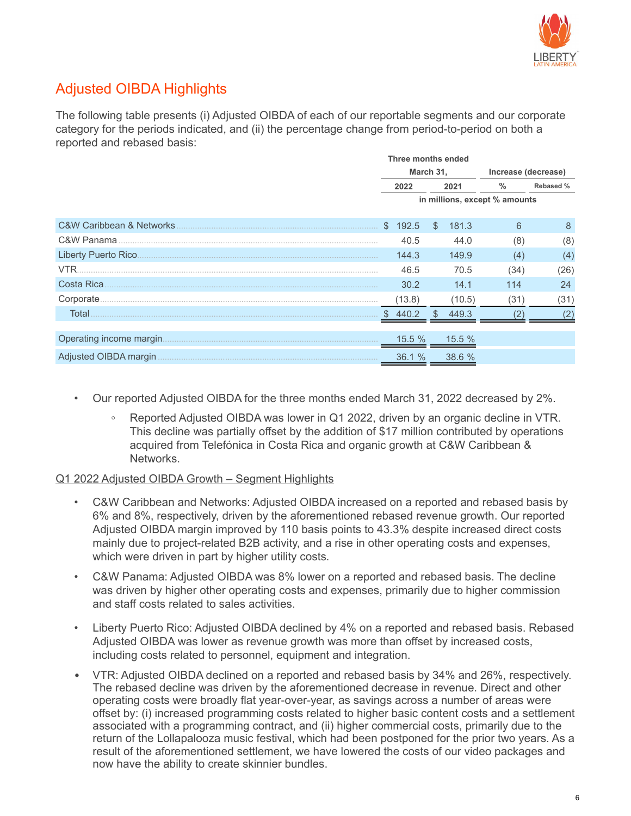

## Adjusted OIBDA Highlights

The following table presents (i) Adjusted OIBDA of each of our reportable segments and our corporate category for the periods indicated, and (ii) the percentage change from period-to-period on both a reported and rebased basis:

|                                         |           | Three months ended |              |        |                               |           |  |
|-----------------------------------------|-----------|--------------------|--------------|--------|-------------------------------|-----------|--|
|                                         | March 31, |                    |              |        | Increase (decrease)           |           |  |
|                                         |           | 2022               |              | 2021   | $\%$                          | Rebased % |  |
|                                         |           |                    |              |        | in millions, except % amounts |           |  |
|                                         |           |                    |              |        |                               |           |  |
| <b>C&amp;W Caribbean &amp; Networks</b> |           | \$192.5            | $\mathbb{S}$ | 181.3  | 6                             | 8         |  |
| C&W Panama                              |           | 40.5               |              | 44.0   | (8)                           | (8)       |  |
|                                         |           | 144.3              |              | 149.9  | (4)                           | (4)       |  |
| <b>VTR</b>                              |           | 46.5               |              | 70.5   | (34)                          | (26)      |  |
| Costa Rica                              |           | 30.2               |              | 14.1   | 114                           | 24        |  |
|                                         |           | (13.8)             |              | (10.5) | (31)                          | (31)      |  |
| Total                                   |           | \$440.2            | \$.          | 449.3  |                               |           |  |
|                                         |           |                    |              |        |                               |           |  |
|                                         |           | 15.5%              |              | 15.5%  |                               |           |  |
| Adjusted OIBDA margin                   |           | 36.1%              |              | 38.6 % |                               |           |  |

- Our reported Adjusted OIBDA for the three months ended March 31, 2022 decreased by 2%.
	- **◦** Reported Adjusted OIBDA was lower in Q1 2022, driven by an organic decline in VTR. This decline was partially offset by the addition of \$17 million contributed by operations acquired from Telefónica in Costa Rica and organic growth at C&W Caribbean & Networks.

#### Q1 2022 Adjusted OIBDA Growth – Segment Highlights

- C&W Caribbean and Networks: Adjusted OIBDA increased on a reported and rebased basis by 6% and 8%, respectively, driven by the aforementioned rebased revenue growth. Our reported Adjusted OIBDA margin improved by 110 basis points to 43.3% despite increased direct costs mainly due to project-related B2B activity, and a rise in other operating costs and expenses, which were driven in part by higher utility costs.
- C&W Panama: Adjusted OIBDA was 8% lower on a reported and rebased basis. The decline was driven by higher other operating costs and expenses, primarily due to higher commission and staff costs related to sales activities.
- Liberty Puerto Rico: Adjusted OIBDA declined by 4% on a reported and rebased basis. Rebased Adjusted OIBDA was lower as revenue growth was more than offset by increased costs, including costs related to personnel, equipment and integration.
- VTR: Adjusted OIBDA declined on a reported and rebased basis by 34% and 26%, respectively. The rebased decline was driven by the aforementioned decrease in revenue. Direct and other operating costs were broadly flat year-over-year, as savings across a number of areas were offset by: (i) increased programming costs related to higher basic content costs and a settlement associated with a programming contract, and (ii) higher commercial costs, primarily due to the return of the Lollapalooza music festival, which had been postponed for the prior two years. As a result of the aforementioned settlement, we have lowered the costs of our video packages and now have the ability to create skinnier bundles.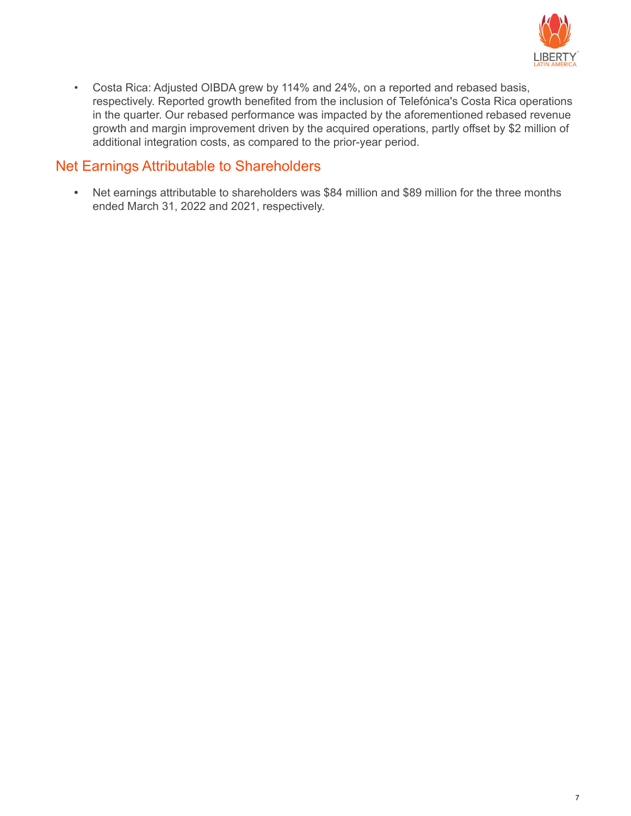

• Costa Rica: Adjusted OIBDA grew by 114% and 24%, on a reported and rebased basis, respectively. Reported growth benefited from the inclusion of Telefónica's Costa Rica operations in the quarter. Our rebased performance was impacted by the aforementioned rebased revenue growth and margin improvement driven by the acquired operations, partly offset by \$2 million of additional integration costs, as compared to the prior-year period.

#### Net Earnings Attributable to Shareholders

**•** Net earnings attributable to shareholders was \$84 million and \$89 million for the three months ended March 31, 2022 and 2021, respectively.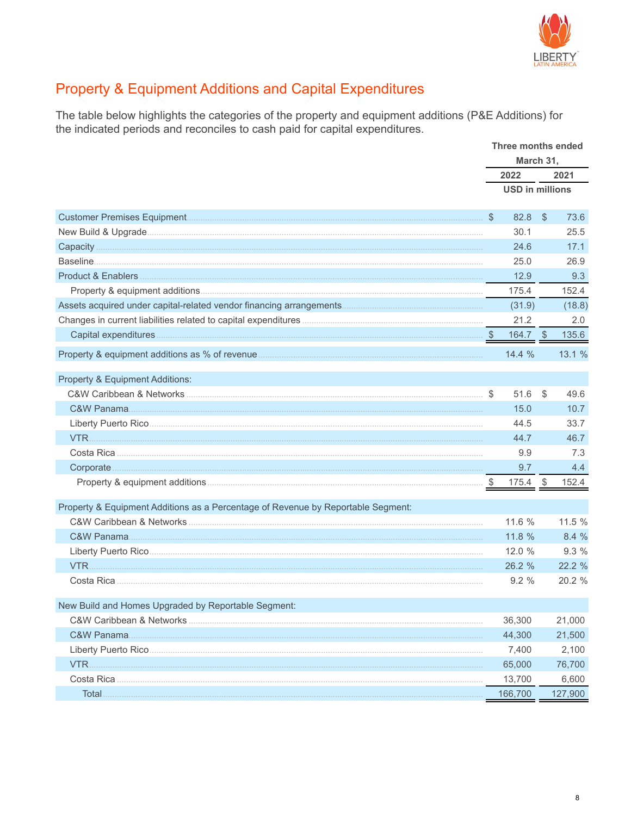

# **Property & Equipment Additions and Capital Expenditures**

The table below highlights the categories of the property and equipment additions (P&E Additions) for the indicated periods and reconciles to cash paid for capital expenditures.

|                                                                                  |               | Three months ended<br>March 31, |                         |         |
|----------------------------------------------------------------------------------|---------------|---------------------------------|-------------------------|---------|
|                                                                                  |               | 2022                            |                         | 2021    |
|                                                                                  |               | <b>USD in millions</b>          |                         |         |
|                                                                                  | $\sqrt[6]{3}$ | 82.8                            | $\sqrt[6]{\frac{1}{2}}$ | 73.6    |
|                                                                                  |               | 30.1                            |                         | 25.5    |
|                                                                                  |               | 24.6                            |                         | 17.1    |
|                                                                                  |               | 25.0                            |                         | 26.9    |
|                                                                                  |               | 12.9                            |                         | 9.3     |
|                                                                                  |               | 175.4                           |                         | 152.4   |
|                                                                                  |               | (31.9)                          |                         | (18.8)  |
|                                                                                  |               | 21.2                            |                         | 2.0     |
|                                                                                  |               | 164.7 \$                        |                         | 135.6   |
|                                                                                  |               | 14.4%                           |                         | 13.1%   |
| Property & Equipment Additions:                                                  |               |                                 |                         |         |
|                                                                                  |               | 51.6                            | $\mathcal{L}$           | 49.6    |
|                                                                                  |               | 15.0                            |                         | 10.7    |
|                                                                                  |               | 44.5                            |                         | 33.7    |
|                                                                                  |               | 44.7                            |                         | 46.7    |
|                                                                                  |               | 9.9                             |                         | 7.3     |
|                                                                                  |               | 9.7                             |                         | 4.4     |
|                                                                                  |               | $175.4$ \$                      |                         | 152.4   |
| Property & Equipment Additions as a Percentage of Revenue by Reportable Segment: |               |                                 |                         |         |
|                                                                                  |               | 11.6 %                          |                         | 11.5 %  |
|                                                                                  |               | 11.8 %                          |                         | 8.4 %   |
| Liberty Puerto Rico                                                              |               | 12.0 %                          |                         | 9.3%    |
|                                                                                  |               | 26.2 %                          |                         | 22.2 %  |
|                                                                                  |               | 9.2%                            |                         | 20.2 %  |
| New Build and Homes Upgraded by Reportable Segment:                              |               |                                 |                         |         |
|                                                                                  |               | 36,300                          |                         | 21,000  |
|                                                                                  |               | 44,300                          |                         | 21,500  |
|                                                                                  |               | 7,400                           |                         | 2,100   |
| VTR.                                                                             |               | 65,000                          |                         | 76,700  |
|                                                                                  |               | 13,700                          |                         | 6,600   |
| Total.                                                                           |               | 166,700                         |                         | 127,900 |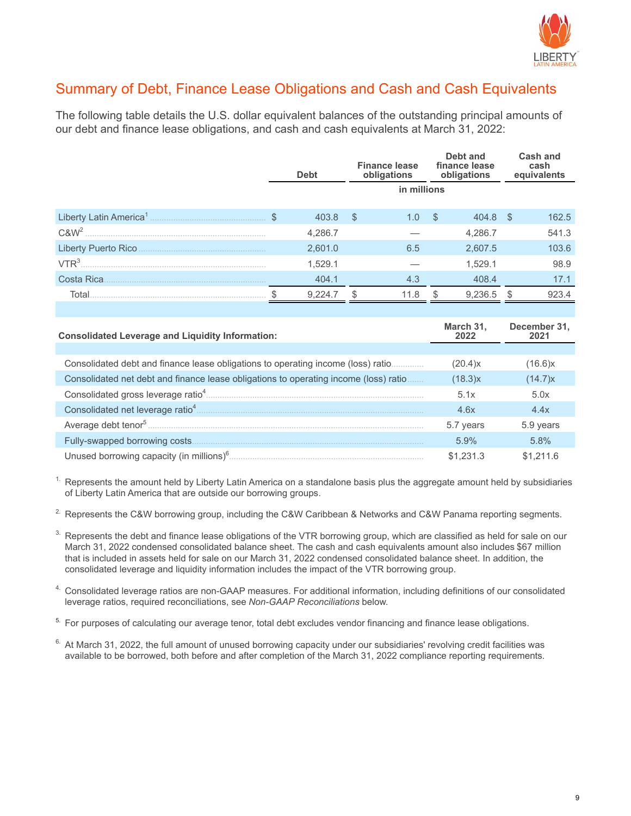

### Summary of Debt, Finance Lease Obligations and Cash and Cash Equivalents

The following table details the U.S. dollar equivalent balances of the outstanding principal amounts of our debt and finance lease obligations, and cash and cash equivalents at March 31, 2022:

|                  | <b>Debt</b> |         | <b>Finance lease</b><br>obligations |             |      | Debt and<br>finance lease<br>obligations |      | <b>Cash and</b><br>cash<br>equivalents |
|------------------|-------------|---------|-------------------------------------|-------------|------|------------------------------------------|------|----------------------------------------|
|                  |             |         |                                     | in millions |      |                                          |      |                                        |
|                  |             | 403.8   | -S                                  | 1.0         | - \$ | 404.8                                    | - \$ | 162.5                                  |
| C&W <sup>2</sup> |             | 4,286.7 |                                     |             |      | 4,286.7                                  |      | 541.3                                  |
|                  |             | 2,601.0 |                                     | 6.5         |      | 2,607.5                                  |      | 103.6                                  |
| VTR <sup>3</sup> |             | 1,529.1 |                                     |             |      | 1,529.1                                  |      | 98.9                                   |
| Costa Rica       |             | 404.1   |                                     | 4.3         |      | 408.4                                    |      | 17.1                                   |
| Total            |             | 9.224.7 |                                     | 11.8        |      | 9.236.5                                  |      | 923.4                                  |
|                  |             |         |                                     |             |      |                                          |      |                                        |

| <b>Consolidated Leverage and Liquidity Information:</b>                              | March 31,<br>2022 | December 31, |
|--------------------------------------------------------------------------------------|-------------------|--------------|
|                                                                                      |                   |              |
| Consolidated debt and finance lease obligations to operating income (loss) ratio     | (20.4)x           | (16.6)x      |
| Consolidated net debt and finance lease obligations to operating income (loss) ratio | (18.3)x           | (14.7)x      |
| Consolidated gross leverage ratio <sup>4</sup>                                       | 5.1x              | 5.0x         |
| Consolidated net leverage ratio <sup>4</sup>                                         | 4.6x              | 4.4x         |
| Average debt tenor <sup>5</sup>                                                      | 5.7 years         | 5.9 years    |
| Fully-swapped borrowing costs.                                                       | 5.9%              | 5.8%         |
| Unused borrowing capacity (in millions) $6\ldots$                                    | \$1,231.3         | \$1.211.6    |

 $<sup>1</sup>$ . Represents the amount held by Liberty Latin America on a standalone basis plus the aggregate amount held by subsidiaries</sup> of Liberty Latin America that are outside our borrowing groups.

<sup>2.</sup> Represents the C&W borrowing group, including the C&W Caribbean & Networks and C&W Panama reporting segments.

- <sup>3.</sup> Represents the debt and finance lease obligations of the VTR borrowing group, which are classified as held for sale on our March 31, 2022 condensed consolidated balance sheet. The cash and cash equivalents amount also includes \$67 million that is included in assets held for sale on our March 31, 2022 condensed consolidated balance sheet. In addition, the consolidated leverage and liquidity information includes the impact of the VTR borrowing group.
- 4. Consolidated leverage ratios are non-GAAP measures. For additional information, including definitions of our consolidated leverage ratios, required reconciliations, see *Non-GAAP Reconciliations* below.
- <sup>5.</sup> For purposes of calculating our average tenor, total debt excludes vendor financing and finance lease obligations.
- $6.$  At March 31, 2022, the full amount of unused borrowing capacity under our subsidiaries' revolving credit facilities was available to be borrowed, both before and after completion of the March 31, 2022 compliance reporting requirements.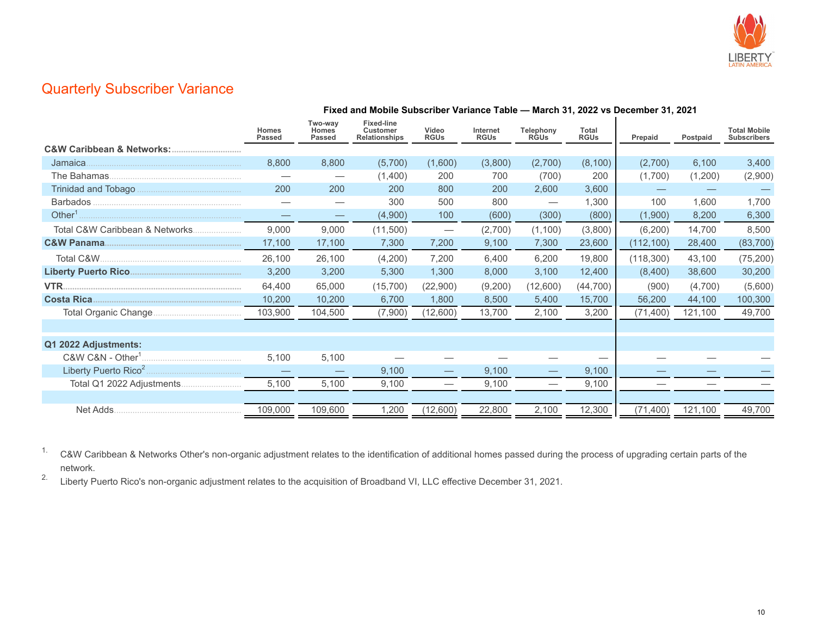

#### Quarterly Subscriber Variance

|                                 |                        |                                   | Fixed and Mobile Subscriber Variance Table - March 31, 2022 vs December 31, 2021 |                                 |                         |                                     |                             |            |          |                                           |
|---------------------------------|------------------------|-----------------------------------|----------------------------------------------------------------------------------|---------------------------------|-------------------------|-------------------------------------|-----------------------------|------------|----------|-------------------------------------------|
|                                 | Homes<br><b>Passed</b> | Two-way<br><b>Homes</b><br>Passed | <b>Fixed-line</b><br><b>Customer</b><br><b>Relationships</b>                     | Video<br><b>RGUs</b>            | Internet<br><b>RGUs</b> | Telephony<br><b>RGU<sub>s</sub></b> | <b>Total</b><br><b>RGUs</b> | Prepaid    | Postpaid | <b>Total Mobile</b><br><b>Subscribers</b> |
|                                 |                        |                                   |                                                                                  |                                 |                         |                                     |                             |            |          |                                           |
| Jamaica.                        | 8,800                  | 8,800                             | (5,700)                                                                          | (1,600)                         | (3,800)                 | (2,700)                             | (8,100)                     | (2,700)    | 6,100    | 3,400                                     |
|                                 |                        | $\hspace{0.1mm}-\hspace{0.1mm}$   | (1,400)                                                                          | 200                             | 700                     | (700)                               | 200                         | (1,700)    | (1,200)  | (2,900)                                   |
|                                 | 200                    | 200                               | 200                                                                              | 800                             | 200                     | 2,600                               | 3,600                       |            |          |                                           |
| <b>Barbados</b>                 |                        | $\overbrace{\phantom{12332}}$     | 300                                                                              | 500                             | 800                     | $\overbrace{\phantom{aaaaa}}$       | 1,300                       | 100        | 1.600    | 1,700                                     |
| Other $1$ .                     |                        | $\overbrace{\phantom{12333}}$     | (4,900)                                                                          | 100                             | (600)                   | (300)                               | (800)                       | (1,900)    | 8,200    | 6,300                                     |
| Total C&W Caribbean & Networks. | 9,000                  | 9,000                             | (11,500)                                                                         | $\hspace{0.1mm}-\hspace{0.1mm}$ | (2,700)                 | (1,100)                             | (3,800)                     | (6,200)    | 14,700   | 8,500                                     |
|                                 | 17,100                 | 17,100                            | 7,300                                                                            | 7,200                           | 9,100                   | 7,300                               | 23,600                      | (112, 100) | 28,400   | (83,700)                                  |
|                                 | 26,100                 | 26,100                            | (4,200)                                                                          | 7,200                           | 6.400                   | 6,200                               | 19,800                      | (118, 300) | 43,100   | (75, 200)                                 |
|                                 | 3,200                  | 3,200                             | 5,300                                                                            | 1,300                           | 8,000                   | 3,100                               | 12,400                      | (8,400)    | 38,600   | 30,200                                    |
|                                 | 64,400                 | 65,000                            | (15,700)                                                                         | (22,900)                        | (9,200)                 | (12,600)                            | (44, 700)                   | (900)      | (4,700)  | (5,600)                                   |
|                                 | 10,200                 | 10,200                            | 6,700                                                                            | 1,800                           | 8,500                   | 5,400                               | 15,700                      | 56,200     | 44,100   | 100,300                                   |
|                                 | 103,900                | 104,500                           | (7,900)                                                                          | (12,600)                        | 13,700                  | 2,100                               | 3,200                       | (71, 400)  | 121,100  | 49,700                                    |
|                                 |                        |                                   |                                                                                  |                                 |                         |                                     |                             |            |          |                                           |
| Q1 2022 Adjustments:            |                        |                                   |                                                                                  |                                 |                         |                                     |                             |            |          |                                           |
| $C&W C&N - Other1$ .            | 5,100                  | 5,100                             |                                                                                  |                                 |                         |                                     |                             |            |          |                                           |
|                                 |                        |                                   | 9,100                                                                            |                                 | 9,100                   | $\overline{\phantom{0}}$            | 9,100                       |            |          |                                           |
|                                 | 5,100                  | 5,100                             | 9,100                                                                            |                                 | 9,100                   |                                     | 9,100                       |            |          |                                           |
|                                 |                        |                                   |                                                                                  |                                 |                         |                                     |                             |            |          |                                           |
| Net Adds.                       | 109,000                | 109,600                           | 1,200                                                                            | (12,600)                        | 22,800                  | 2,100                               | 12,300                      | (71, 400)  | 121,100  | 49,700                                    |

<sup>1.</sup> C&W Caribbean & Networks Other's non-organic adjustment relates to the identification of additional homes passed during the process of upgrading certain parts of the network.

<sup>2.</sup> Liberty Puerto Rico's non-organic adjustment relates to the acquisition of Broadband VI, LLC effective December 31, 2021.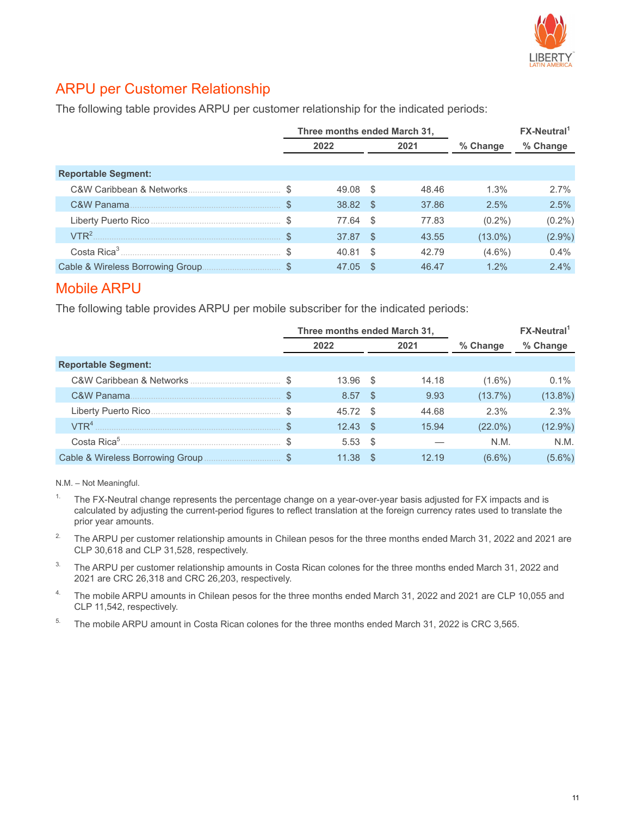

#### ARPU per Customer Relationship

The following table provides ARPU per customer relationship for the indicated periods:

|                                  |      |       |      | Three months ended March 31, |            | $FX$ -Neutral <sup>1</sup> |
|----------------------------------|------|-------|------|------------------------------|------------|----------------------------|
|                                  | 2022 |       | 2021 |                              | % Change   | % Change                   |
|                                  |      |       |      |                              |            |                            |
| <b>Reportable Segment:</b>       |      |       |      |                              |            |                            |
| C&W Caribbean & Networks.        |      | 49.08 | - \$ | 48.46                        | 1.3%       | 2.7%                       |
| C&W Panama                       |      | 38.82 | - \$ | 37.86                        | 2.5%       | 2.5%                       |
|                                  |      | 77.64 | - \$ | 77.83                        | $(0.2\%)$  | $(0.2\%)$                  |
| VTR <sup>2</sup>                 |      | 37.87 | - \$ | 43.55                        | $(13.0\%)$ | $(2.9\%)$                  |
|                                  |      | 40.81 | - \$ | 42.79                        | $(4.6\%)$  | 0.4%                       |
| Cable & Wireless Borrowing Group |      | 47.05 | .S   | 46.47                        | 1.2%       | 2.4%                       |

#### Mobile ARPU

The following table provides ARPU per mobile subscriber for the indicated periods:

|                              |      |          |      | Three months ended March 31, |            | $FX$ -Neutral <sup>1</sup> |  |
|------------------------------|------|----------|------|------------------------------|------------|----------------------------|--|
|                              | 2022 |          |      | 2021                         | % Change   | % Change                   |  |
| <b>Reportable Segment:</b>   |      |          |      |                              |            |                            |  |
|                              |      | 13.96 \$ |      | 14.18                        | $(1.6\%)$  | 0.1%                       |  |
| C&W Panama                   |      | 8.57     | - \$ | 9.93                         | $(13.7\%)$ | $(13.8\%)$                 |  |
|                              |      | 45.72    | - \$ | 44.68                        | 2.3%       | 2.3%                       |  |
| $VTR4$ and $VTR4$ and $VTR4$ |      | 12.43    | - \$ | 15.94                        | $(22.0\%)$ | $(12.9\%)$                 |  |
|                              |      | 5.53     | - \$ |                              | N.M.       | N.M.                       |  |
|                              |      | 11.38    | - \$ | 12.19                        | $(6.6\%)$  | $(5.6\%)$                  |  |

N.M. – Not Meaningful.

- <sup>1.</sup> The FX-Neutral change represents the percentage change on a year-over-year basis adjusted for FX impacts and is calculated by adjusting the current-period figures to reflect translation at the foreign currency rates used to translate the prior year amounts.
- <sup>2.</sup> The ARPU per customer relationship amounts in Chilean pesos for the three months ended March 31, 2022 and 2021 are CLP 30,618 and CLP 31,528, respectively.
- <sup>3.</sup> The ARPU per customer relationship amounts in Costa Rican colones for the three months ended March 31, 2022 and 2021 are CRC 26,318 and CRC 26,203, respectively.
- <sup>4.</sup> The mobile ARPU amounts in Chilean pesos for the three months ended March 31, 2022 and 2021 are CLP 10,055 and CLP 11,542, respectively.
- <sup>5.</sup> The mobile ARPU amount in Costa Rican colones for the three months ended March 31, 2022 is CRC 3,565.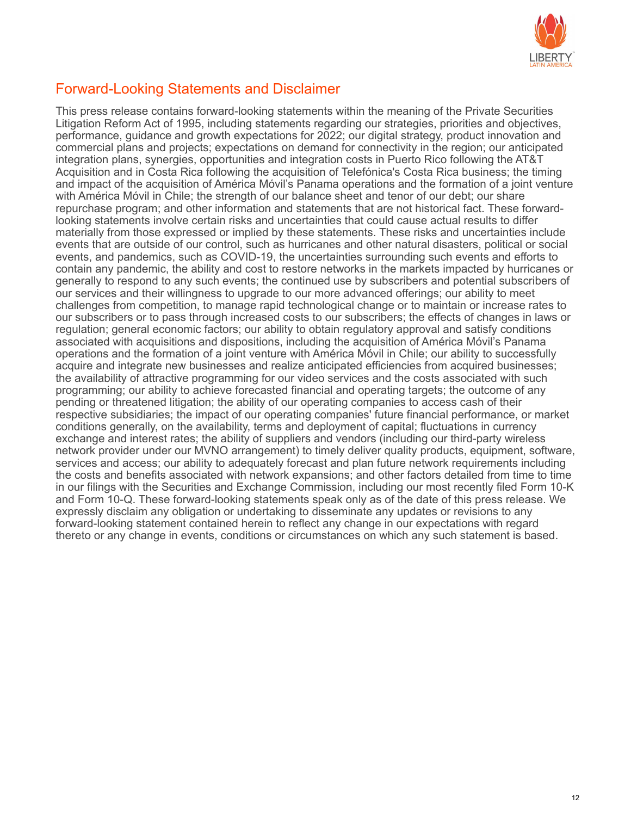

#### Forward-Looking Statements and Disclaimer

This press release contains forward-looking statements within the meaning of the Private Securities Litigation Reform Act of 1995, including statements regarding our strategies, priorities and objectives, performance, guidance and growth expectations for 2022; our digital strategy, product innovation and commercial plans and projects; expectations on demand for connectivity in the region; our anticipated integration plans, synergies, opportunities and integration costs in Puerto Rico following the AT&T Acquisition and in Costa Rica following the acquisition of Telefónica's Costa Rica business; the timing and impact of the acquisition of América Móvil's Panama operations and the formation of a joint venture with América Móvil in Chile; the strength of our balance sheet and tenor of our debt; our share repurchase program; and other information and statements that are not historical fact. These forwardlooking statements involve certain risks and uncertainties that could cause actual results to differ materially from those expressed or implied by these statements. These risks and uncertainties include events that are outside of our control, such as hurricanes and other natural disasters, political or social events, and pandemics, such as COVID-19, the uncertainties surrounding such events and efforts to contain any pandemic, the ability and cost to restore networks in the markets impacted by hurricanes or generally to respond to any such events; the continued use by subscribers and potential subscribers of our services and their willingness to upgrade to our more advanced offerings; our ability to meet challenges from competition, to manage rapid technological change or to maintain or increase rates to our subscribers or to pass through increased costs to our subscribers; the effects of changes in laws or regulation; general economic factors; our ability to obtain regulatory approval and satisfy conditions associated with acquisitions and dispositions, including the acquisition of América Móvil's Panama operations and the formation of a joint venture with América Móvil in Chile; our ability to successfully acquire and integrate new businesses and realize anticipated efficiencies from acquired businesses; the availability of attractive programming for our video services and the costs associated with such programming; our ability to achieve forecasted financial and operating targets; the outcome of any pending or threatened litigation; the ability of our operating companies to access cash of their respective subsidiaries; the impact of our operating companies' future financial performance, or market conditions generally, on the availability, terms and deployment of capital; fluctuations in currency exchange and interest rates; the ability of suppliers and vendors (including our third-party wireless network provider under our MVNO arrangement) to timely deliver quality products, equipment, software, services and access; our ability to adequately forecast and plan future network requirements including the costs and benefits associated with network expansions; and other factors detailed from time to time in our filings with the Securities and Exchange Commission, including our most recently filed Form 10-K and Form 10-Q. These forward-looking statements speak only as of the date of this press release. We expressly disclaim any obligation or undertaking to disseminate any updates or revisions to any forward-looking statement contained herein to reflect any change in our expectations with regard thereto or any change in events, conditions or circumstances on which any such statement is based.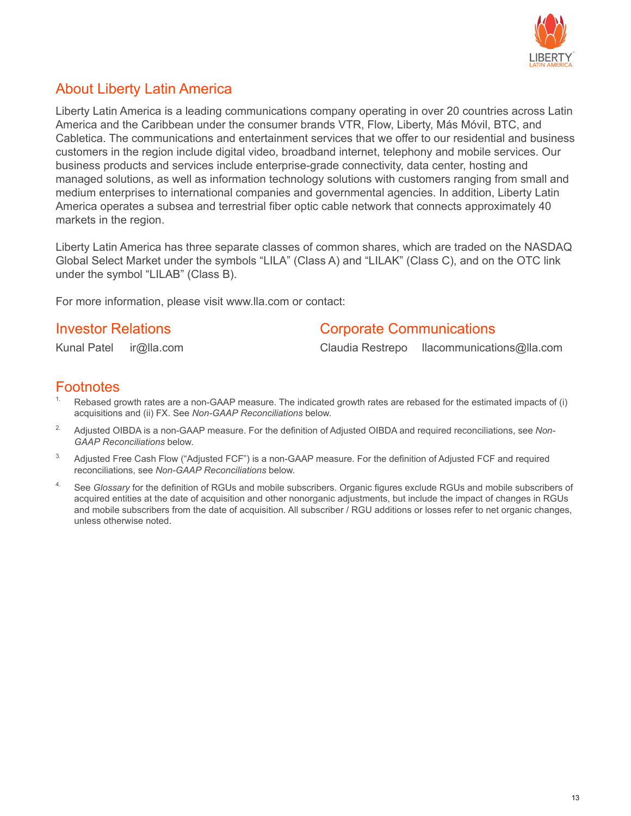

#### About Liberty Latin America

Liberty Latin America is a leading communications company operating in over 20 countries across Latin America and the Caribbean under the consumer brands VTR, Flow, Liberty, Más Móvil, BTC, and Cabletica. The communications and entertainment services that we offer to our residential and business customers in the region include digital video, broadband internet, telephony and mobile services. Our business products and services include enterprise-grade connectivity, data center, hosting and managed solutions, as well as information technology solutions with customers ranging from small and medium enterprises to international companies and governmental agencies. In addition, Liberty Latin America operates a subsea and terrestrial fiber optic cable network that connects approximately 40 markets in the region.

Liberty Latin America has three separate classes of common shares, which are traded on the NASDAQ Global Select Market under the symbols "LILA" (Class A) and "LILAK" (Class C), and on the OTC link under the symbol "LILAB" (Class B).

For more information, please visit www.lla.com or contact:

#### **Investor Relations Corporate Communications**

Kunal Patel ir@lla.com Claudia Restrepo llacommunications@lla.com

#### **Footnotes**

- Rebased growth rates are a non-GAAP measure. The indicated growth rates are rebased for the estimated impacts of (i) acquisitions and (ii) FX. See *Non-GAAP Reconciliations* below.
- 2. Adjusted OIBDA is a non-GAAP measure. For the definition of Adjusted OIBDA and required reconciliations, see *Non-GAAP Reconciliations* below.
- <sup>3.</sup> Adjusted Free Cash Flow ("Adjusted FCF") is a non-GAAP measure. For the definition of Adjusted FCF and required reconciliations, see *Non-GAAP Reconciliations* below.
- 4. See *Glossary* for the definition of RGUs and mobile subscribers. Organic figures exclude RGUs and mobile subscribers of acquired entities at the date of acquisition and other nonorganic adjustments, but include the impact of changes in RGUs and mobile subscribers from the date of acquisition. All subscriber / RGU additions or losses refer to net organic changes, unless otherwise noted.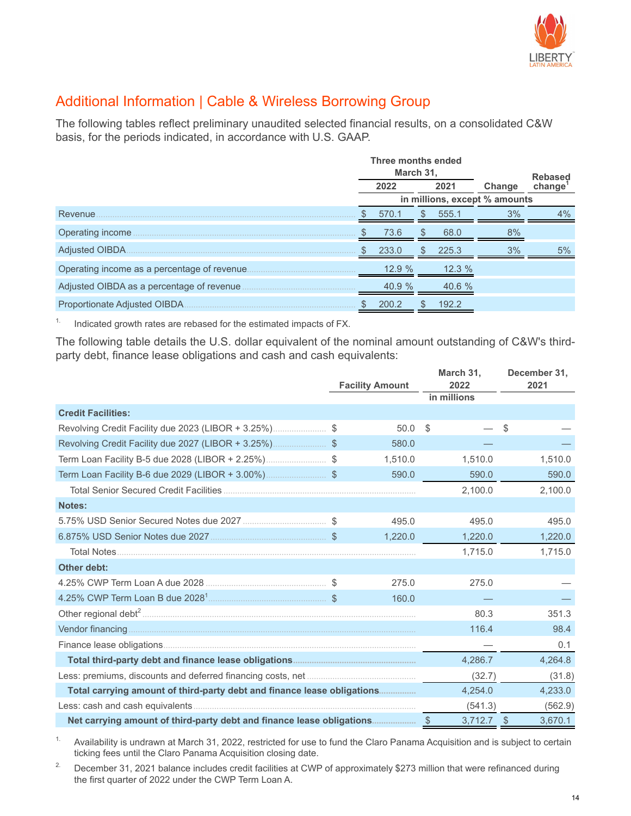

### Additional Information | Cable & Wireless Borrowing Group

The following tables reflect preliminary unaudited selected financial results, on a consolidated C&W basis, for the periods indicated, in accordance with U.S. GAAP.

|                                                                                                                                    |      | Three months ended<br>March 31, |              |           |                               |                             |  |
|------------------------------------------------------------------------------------------------------------------------------------|------|---------------------------------|--------------|-----------|-------------------------------|-----------------------------|--|
|                                                                                                                                    | 2022 |                                 |              | 2021      | Change                        | <b>Rebased</b><br>$change1$ |  |
|                                                                                                                                    |      |                                 |              |           | in millions, except % amounts |                             |  |
| Revenue.                                                                                                                           |      | 570.1                           | <sup>S</sup> | 555.1     | 3%                            | $4\%$                       |  |
| Operating income<br>and the state of the state of the state of the state of the state of the state of the state of the state of th |      | 73.6                            |              | 68.0      | 8%                            |                             |  |
| Adjusted OIBDA.                                                                                                                    |      | 233.0                           | S.           | 225.3     | 3%                            | 5%                          |  |
|                                                                                                                                    |      | 12.9%                           |              | 12.3%     |                               |                             |  |
|                                                                                                                                    |      | 40.9%                           |              | $40.6 \%$ |                               |                             |  |
|                                                                                                                                    |      | 200.2                           |              | 192.2     |                               |                             |  |

<sup>1.</sup> Indicated growth rates are rebased for the estimated impacts of FX.

The following table details the U.S. dollar equivalent of the nominal amount outstanding of C&W's thirdparty debt, finance lease obligations and cash and cash equivalents:

|                                                                         | <b>Facility Amount</b> |         | March 31,<br>2022<br>in millions |         |      | December 31,<br>2021 |
|-------------------------------------------------------------------------|------------------------|---------|----------------------------------|---------|------|----------------------|
| <b>Credit Facilities:</b>                                               |                        |         |                                  |         |      |                      |
|                                                                         |                        | 50.0    | \$                               |         | \$   |                      |
|                                                                         |                        | 580.0   |                                  |         |      |                      |
|                                                                         |                        | 1,510.0 |                                  | 1,510.0 |      | 1,510.0              |
| Term Loan Facility B-6 due 2029 (LIBOR + 3.00%)                         |                        | 590.0   |                                  | 590.0   |      | 590.0                |
|                                                                         |                        |         |                                  | 2,100.0 |      | 2,100.0              |
| Notes:                                                                  |                        |         |                                  |         |      |                      |
|                                                                         |                        | 495.0   |                                  | 495.0   |      | 495.0                |
|                                                                         |                        | 1,220.0 |                                  | 1,220.0 |      | 1,220.0              |
| <b>Total Notes</b>                                                      |                        |         |                                  | 1,715.0 |      | 1,715.0              |
| <b>Other debt:</b>                                                      |                        |         |                                  |         |      |                      |
|                                                                         |                        | 275.0   |                                  | 275.0   |      |                      |
|                                                                         |                        | 160.0   |                                  |         |      |                      |
|                                                                         |                        |         |                                  | 80.3    |      | 351.3                |
|                                                                         |                        |         |                                  | 116.4   |      | 98.4                 |
|                                                                         |                        |         |                                  |         |      | 0.1                  |
|                                                                         |                        |         |                                  | 4,286.7 |      | 4,264.8              |
|                                                                         |                        |         |                                  | (32.7)  |      | (31.8)               |
| Total carrying amount of third-party debt and finance lease obligations |                        |         |                                  | 4,254.0 |      | 4,233.0              |
|                                                                         |                        |         |                                  | (541.3) |      | (562.9)              |
|                                                                         |                        |         |                                  | 3,712.7 | - \$ | 3,670.1              |

<sup>1.</sup> Availability is undrawn at March 31, 2022, restricted for use to fund the Claro Panama Acquisition and is subject to certain ticking fees until the Claro Panama Acquisition closing date.

<sup>2.</sup> December 31, 2021 balance includes credit facilities at CWP of approximately \$273 million that were refinanced during the first quarter of 2022 under the CWP Term Loan A.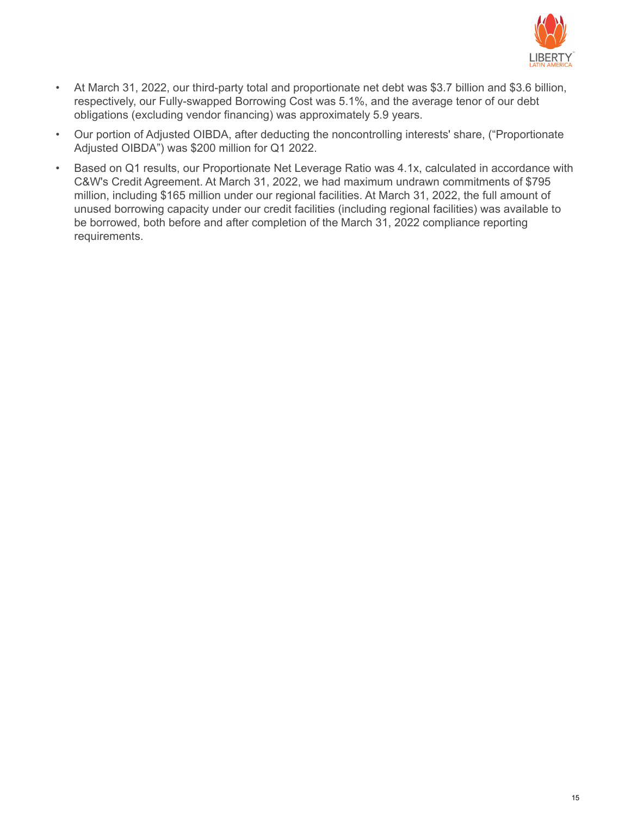

- At March 31, 2022, our third-party total and proportionate net debt was \$3.7 billion and \$3.6 billion, respectively, our Fully-swapped Borrowing Cost was 5.1%, and the average tenor of our debt obligations (excluding vendor financing) was approximately 5.9 years.
- Our portion of Adjusted OIBDA, after deducting the noncontrolling interests' share, ("Proportionate Adjusted OIBDA") was \$200 million for Q1 2022.
- Based on Q1 results, our Proportionate Net Leverage Ratio was 4.1x, calculated in accordance with C&W's Credit Agreement. At March 31, 2022, we had maximum undrawn commitments of \$795 million, including \$165 million under our regional facilities. At March 31, 2022, the full amount of unused borrowing capacity under our credit facilities (including regional facilities) was available to be borrowed, both before and after completion of the March 31, 2022 compliance reporting requirements.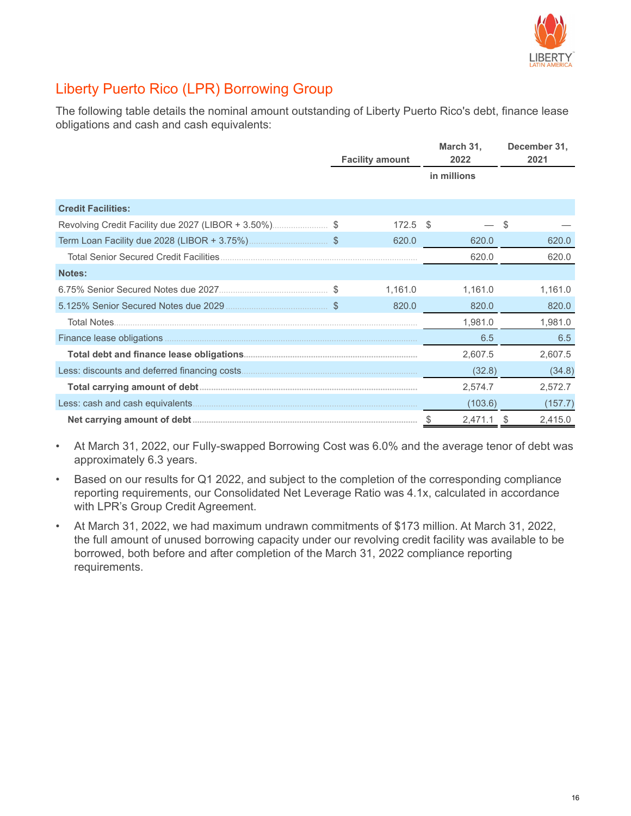

# Liberty Puerto Rico (LPR) Borrowing Group

The following table details the nominal amount outstanding of Liberty Puerto Rico's debt, finance lease obligations and cash and cash equivalents:

|                                                    | <b>Facility amount</b> |      | March 31,<br>2022 |   | December 31,<br>2021 |
|----------------------------------------------------|------------------------|------|-------------------|---|----------------------|
|                                                    |                        |      | in millions       |   |                      |
| <b>Credit Facilities:</b>                          |                        |      |                   |   |                      |
| Revolving Credit Facility due 2027 (LIBOR + 3.50%) | 172.5                  | - \$ |                   | S |                      |
|                                                    | 620.0                  |      | 620.0             |   | 620.0                |
|                                                    |                        |      | 620.0             |   | 620.0                |
| Notes:                                             |                        |      |                   |   |                      |
|                                                    | 1,161.0                |      | 1,161.0           |   | 1,161.0              |
| 5.125% Senior Secured Notes due 2029               | 820.0                  |      | 820.0             |   | 820.0                |
| Total Notes                                        |                        |      | 1,981.0           |   | 1,981.0              |
| Finance lease obligations.                         |                        |      | 6.5               |   | 6.5                  |
|                                                    |                        |      | 2,607.5           |   | 2,607.5              |
|                                                    |                        |      | (32.8)            |   | (34.8)               |
|                                                    |                        |      | 2,574.7           |   | 2,572.7              |
| Less: cash and cash equivalents.                   |                        |      | (103.6)           |   | (157.7)              |
|                                                    |                        |      | 2,471.1           |   | 2,415.0              |

• At March 31, 2022, our Fully-swapped Borrowing Cost was 6.0% and the average tenor of debt was approximately 6.3 years.

• Based on our results for Q1 2022, and subject to the completion of the corresponding compliance reporting requirements, our Consolidated Net Leverage Ratio was 4.1x, calculated in accordance with LPR's Group Credit Agreement.

• At March 31, 2022, we had maximum undrawn commitments of \$173 million. At March 31, 2022, the full amount of unused borrowing capacity under our revolving credit facility was available to be borrowed, both before and after completion of the March 31, 2022 compliance reporting requirements.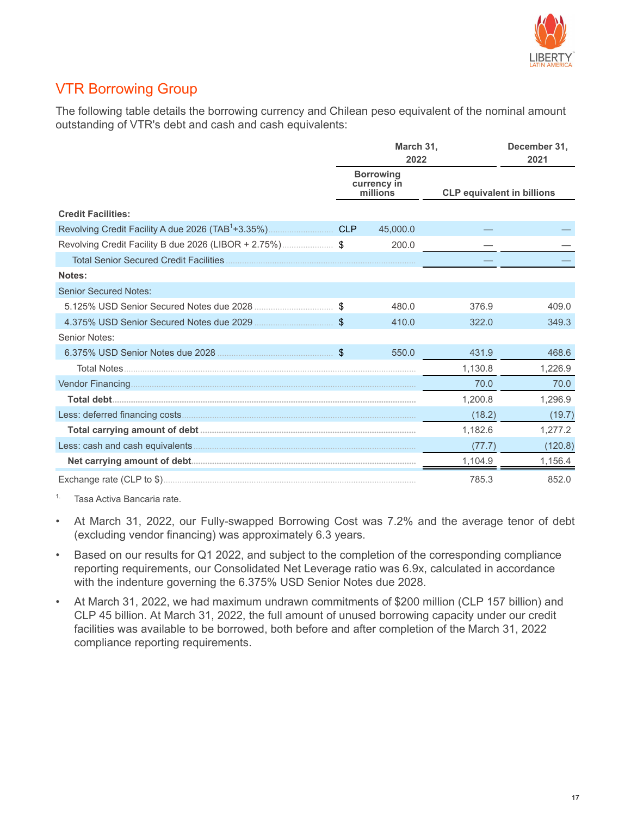

### VTR Borrowing Group

The following table details the borrowing currency and Chilean peso equivalent of the nominal amount outstanding of VTR's debt and cash and cash equivalents:

|                                                         | March 31,<br>2022                           |                                   | December 31,<br>2021 |
|---------------------------------------------------------|---------------------------------------------|-----------------------------------|----------------------|
|                                                         | <b>Borrowing</b><br>currency in<br>millions | <b>CLP equivalent in billions</b> |                      |
| <b>Credit Facilities:</b>                               |                                             |                                   |                      |
|                                                         | 45,000.0                                    |                                   |                      |
| Revolving Credit Facility B due 2026 (LIBOR + 2.75%) \$ | 200.0                                       |                                   |                      |
|                                                         |                                             |                                   |                      |
| Notes:                                                  |                                             |                                   |                      |
| <b>Senior Secured Notes:</b>                            |                                             |                                   |                      |
| 5.125% USD Senior Secured Notes due 2028                | 480.0                                       | 376.9                             | 409.0                |
|                                                         | 410.0                                       | 322.0                             | 349.3                |
| Senior Notes:                                           |                                             |                                   |                      |
| 6.375% USD Senior Notes due 2028                        | 550.0                                       | 431.9                             | 468.6                |
|                                                         |                                             | 1,130.8                           | 1,226.9              |
|                                                         |                                             | 70.0                              | 70.0                 |
|                                                         |                                             | 1,200.8                           | 1,296.9              |
|                                                         |                                             | (18.2)                            | (19.7)               |
|                                                         |                                             | 1,182.6                           | 1,277.2              |
|                                                         |                                             | (77.7)                            | (120.8)              |
|                                                         |                                             | 1,104.9                           | 1,156.4              |
|                                                         |                                             | 785.3                             | 852.0                |

1. Tasa Activa Bancaria rate.

- At March 31, 2022, our Fully-swapped Borrowing Cost was 7.2% and the average tenor of debt (excluding vendor financing) was approximately 6.3 years.
- Based on our results for Q1 2022, and subject to the completion of the corresponding compliance reporting requirements, our Consolidated Net Leverage ratio was 6.9x, calculated in accordance with the indenture governing the 6.375% USD Senior Notes due 2028.
- At March 31, 2022, we had maximum undrawn commitments of \$200 million (CLP 157 billion) and CLP 45 billion. At March 31, 2022, the full amount of unused borrowing capacity under our credit facilities was available to be borrowed, both before and after completion of the March 31, 2022 compliance reporting requirements.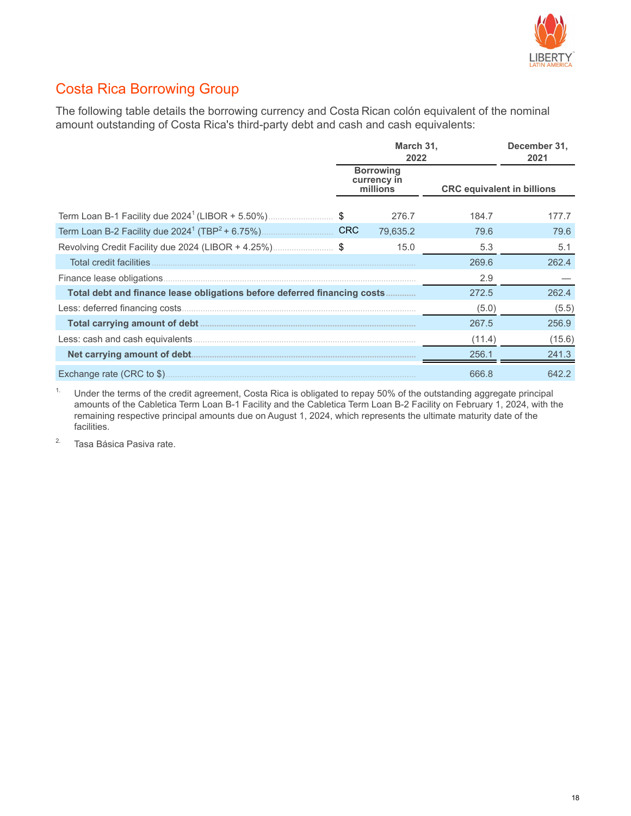

### Costa Rica Borrowing Group

The following table details the borrowing currency and Costa Rican colón equivalent of the nominal amount outstanding of Costa Rica's third-party debt and cash and cash equivalents:

|                                                                          | March 31,<br>2022                           |                                   | December 31,<br>2021 |
|--------------------------------------------------------------------------|---------------------------------------------|-----------------------------------|----------------------|
|                                                                          | <b>Borrowing</b><br>currency in<br>millions | <b>CRC</b> equivalent in billions |                      |
| Term Loan B-1 Facility due 2024 <sup>1</sup> (LIBOR + 5.50%)\$           | 276.7                                       | 184.7                             | 177.7                |
|                                                                          | 79,635.2                                    | 79.6                              | 79.6                 |
| Revolving Credit Facility due 2024 (LIBOR + 4.25%)\$                     | 15.0                                        | 5.3                               | 5.1                  |
| Total credit facilities                                                  |                                             | 269.6                             | 262.4                |
|                                                                          |                                             | 2.9                               |                      |
| Total debt and finance lease obligations before deferred financing costs |                                             | 272.5                             | 262.4                |
|                                                                          |                                             | (5.0)                             | (5.5)                |
|                                                                          |                                             | 267.5                             | 256.9                |
|                                                                          |                                             | (11.4)                            | (15.6)               |
|                                                                          |                                             | 256.1                             | 241.3                |
|                                                                          |                                             | 666.8                             | 642.2                |

<sup>1.</sup> Under the terms of the credit agreement, Costa Rica is obligated to repay 50% of the outstanding aggregate principal amounts of the Cabletica Term Loan B-1 Facility and the Cabletica Term Loan B-2 Facility on February 1, 2024, with the remaining respective principal amounts due on August 1, 2024, which represents the ultimate maturity date of the facilities.

<sup>2.</sup> Tasa Básica Pasiva rate.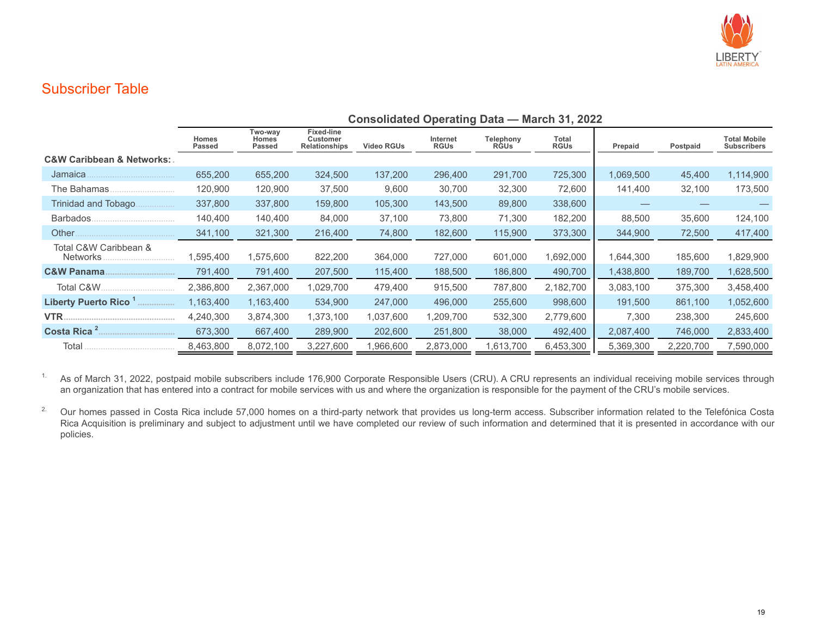

#### Subscriber Table

|                                           | <b>Consolidated Operating Data — March 31, 2022</b> |                                   |                                                       |                   |                         |                          |                      |           |           |                                           |  |  |
|-------------------------------------------|-----------------------------------------------------|-----------------------------------|-------------------------------------------------------|-------------------|-------------------------|--------------------------|----------------------|-----------|-----------|-------------------------------------------|--|--|
|                                           | <b>Homes</b><br><b>Passed</b>                       | Two-way<br><b>Homes</b><br>Passed | <b>Fixed-line</b><br>Customer<br><b>Relationships</b> | <b>Video RGUs</b> | Internet<br><b>RGUs</b> | Telephony<br><b>RGUs</b> | Total<br><b>RGUs</b> | Prepaid   | Postpaid  | <b>Total Mobile</b><br><b>Subscribers</b> |  |  |
| <b>C&amp;W Caribbean &amp; Networks:.</b> |                                                     |                                   |                                                       |                   |                         |                          |                      |           |           |                                           |  |  |
| Jamaica.                                  | 655,200                                             | 655,200                           | 324,500                                               | 137,200           | 296,400                 | 291,700                  | 725,300              | 1,069,500 | 45,400    | 1,114,900                                 |  |  |
| The Bahamas.                              | 120,900                                             | 120,900                           | 37,500                                                | 9,600             | 30,700                  | 32,300                   | 72,600               | 141,400   | 32,100    | 173,500                                   |  |  |
| Trinidad and Tobago<br>.                  | 337,800                                             | 337,800                           | 159,800                                               | 105,300           | 143,500                 | 89,800                   | 338,600              |           |           |                                           |  |  |
| Barbados.                                 | 140.400                                             | 140,400                           | 84,000                                                | 37,100            | 73,800                  | 71,300                   | 182,200              | 88,500    | 35,600    | 124,100                                   |  |  |
| Other                                     | 341,100                                             | 321,300                           | 216,400                                               | 74,800            | 182,600                 | 115,900                  | 373,300              | 344,900   | 72,500    | 417,400                                   |  |  |
| Total C&W Caribbean &<br>Networks.        | 1,595,400                                           | 575,600                           | 822,200                                               | 364,000           | 727,000                 | 601,000                  | 1,692,000            | 1,644,300 | 185,600   | 1,829,900                                 |  |  |
| <b>C&amp;W Panama.</b>                    | 791,400                                             | 791,400                           | 207,500                                               | 115,400           | 188,500                 | 186,800                  | 490,700              | 1,438,800 | 189,700   | 1,628,500                                 |  |  |
| Total C&W.                                | 2,386,800                                           | 2,367,000                         | 1,029,700                                             | 479,400           | 915,500                 | 787,800                  | 2,182,700            | 3,083,100 | 375,300   | 3,458,400                                 |  |  |
| Liberty Puerto Rico <sup>1</sup>          | 1,163,400                                           | 1,163,400                         | 534,900                                               | 247,000           | 496,000                 | 255,600                  | 998,600              | 191,500   | 861,100   | 1,052,600                                 |  |  |
| VTR.                                      | 4,240,300                                           | 3,874,300                         | 1,373,100                                             | 1,037,600         | 1,209,700               | 532,300                  | 2,779,600            | 7,300     | 238,300   | 245,600                                   |  |  |
|                                           | 673,300                                             | 667,400                           | 289,900                                               | 202,600           | 251,800                 | 38,000                   | 492,400              | 2,087,400 | 746,000   | 2,833,400                                 |  |  |
| Total                                     | 8,463,800                                           | 8,072,100                         | 3,227,600                                             | 966,600. ا        | 2,873,000               | 1,613,700                | 6,453,300            | 5,369,300 | 2,220,700 | 7,590,000                                 |  |  |

<sup>1.</sup> As of March 31, 2022, postpaid mobile subscribers include 176,900 Corporate Responsible Users (CRU). A CRU represents an individual receiving mobile services through an organization that has entered into a contract for mobile services with us and where the organization is responsible for the payment of the CRU's mobile services.

<sup>2.</sup> Our homes passed in Costa Rica include 57,000 homes on a third-party network that provides us long-term access. Subscriber information related to the Telefónica Costa Rica Acquisition is preliminary and subject to adjustment until we have completed our review of such information and determined that it is presented in accordance with our policies.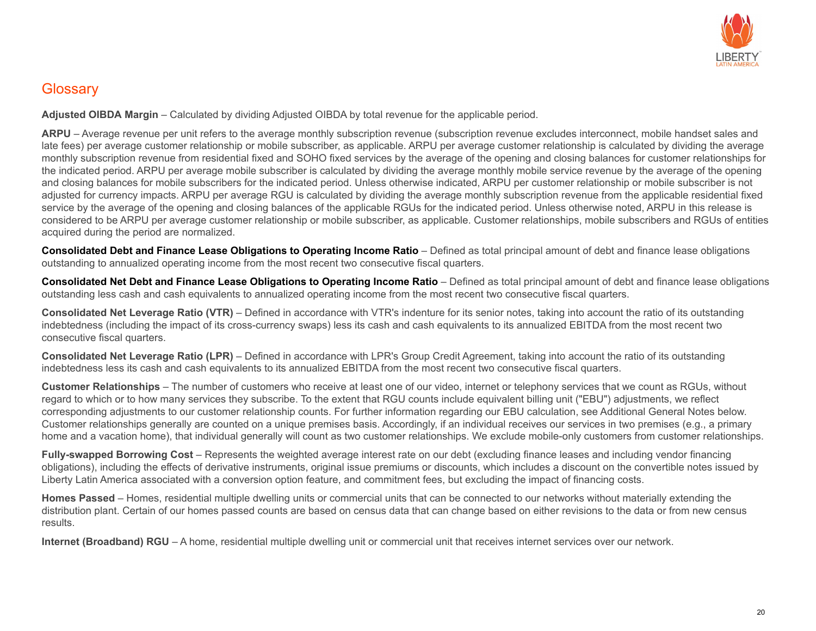

#### **Glossary**

**Adjusted OIBDA Margin** – Calculated by dividing Adjusted OIBDA by total revenue for the applicable period.

**ARPU** – Average revenue per unit refers to the average monthly subscription revenue (subscription revenue excludes interconnect, mobile handset sales and late fees) per average customer relationship or mobile subscriber, as applicable. ARPU per average customer relationship is calculated by dividing the average monthly subscription revenue from residential fixed and SOHO fixed services by the average of the opening and closing balances for customer relationships for the indicated period. ARPU per average mobile subscriber is calculated by dividing the average monthly mobile service revenue by the average of the opening and closing balances for mobile subscribers for the indicated period. Unless otherwise indicated, ARPU per customer relationship or mobile subscriber is not adjusted for currency impacts. ARPU per average RGU is calculated by dividing the average monthly subscription revenue from the applicable residential fixed service by the average of the opening and closing balances of the applicable RGUs for the indicated period. Unless otherwise noted, ARPU in this release is considered to be ARPU per average customer relationship or mobile subscriber, as applicable. Customer relationships, mobile subscribers and RGUs of entities acquired during the period are normalized.

**Consolidated Debt and Finance Lease Obligations to Operating Income Ratio** – Defined as total principal amount of debt and finance lease obligations outstanding to annualized operating income from the most recent two consecutive fiscal quarters.

**Consolidated Net Debt and Finance Lease Obligations to Operating Income Ratio** – Defined as total principal amount of debt and finance lease obligations outstanding less cash and cash equivalents to annualized operating income from the most recent two consecutive fiscal quarters.

**Consolidated Net Leverage Ratio (VTR)** – Defined in accordance with VTR's indenture for its senior notes, taking into account the ratio of its outstanding indebtedness (including the impact of its cross-currency swaps) less its cash and cash equivalents to its annualized EBITDA from the most recent two consecutive fiscal quarters.

**Consolidated Net Leverage Ratio (LPR)** – Defined in accordance with LPR's Group Credit Agreement, taking into account the ratio of its outstanding indebtedness less its cash and cash equivalents to its annualized EBITDA from the most recent two consecutive fiscal quarters.

**Customer Relationships** – The number of customers who receive at least one of our video, internet or telephony services that we count as RGUs, without regard to which or to how many services they subscribe. To the extent that RGU counts include equivalent billing unit ("EBU") adjustments, we reflect corresponding adjustments to our customer relationship counts. For further information regarding our EBU calculation, see Additional General Notes below. Customer relationships generally are counted on a unique premises basis. Accordingly, if an individual receives our services in two premises (e.g., a primary home and a vacation home), that individual generally will count as two customer relationships. We exclude mobile-only customers from customer relationships.

**Fully-swapped Borrowing Cost** – Represents the weighted average interest rate on our debt (excluding finance leases and including vendor financing obligations), including the effects of derivative instruments, original issue premiums or discounts, which includes a discount on the convertible notes issued by Liberty Latin America associated with a conversion option feature, and commitment fees, but excluding the impact of financing costs.

**Homes Passed** – Homes, residential multiple dwelling units or commercial units that can be connected to our networks without materially extending the distribution plant. Certain of our homes passed counts are based on census data that can change based on either revisions to the data or from new census results.

**Internet (Broadband) RGU** – A home, residential multiple dwelling unit or commercial unit that receives internet services over our network.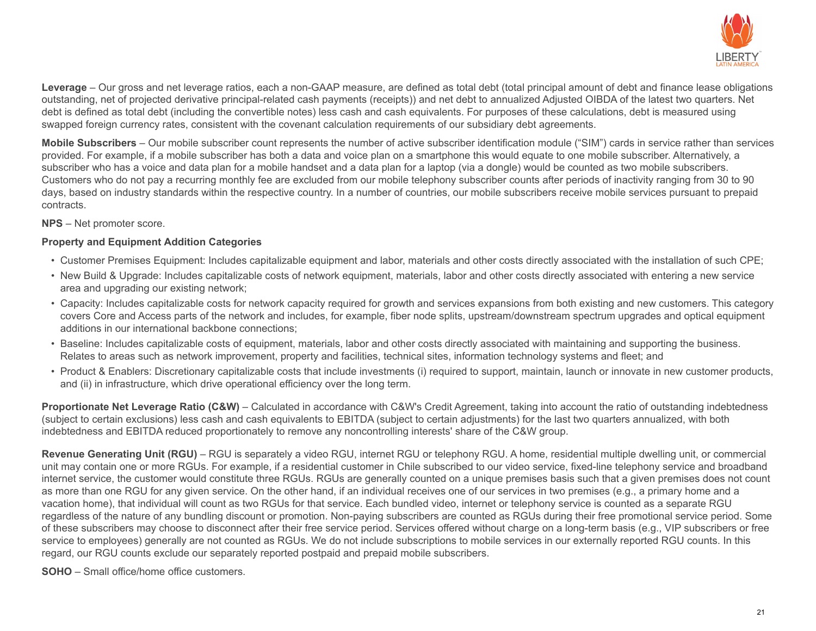

**Leverage** – Our gross and net leverage ratios, each a non-GAAP measure, are defined as total debt (total principal amount of debt and finance lease obligations outstanding, net of projected derivative principal-related cash payments (receipts)) and net debt to annualized Adjusted OIBDA of the latest two quarters. Net debt is defined as total debt (including the convertible notes) less cash and cash equivalents. For purposes of these calculations, debt is measured using swapped foreign currency rates, consistent with the covenant calculation requirements of our subsidiary debt agreements.

**Mobile Subscribers** – Our mobile subscriber count represents the number of active subscriber identification module ("SIM") cards in service rather than services provided. For example, if a mobile subscriber has both a data and voice plan on a smartphone this would equate to one mobile subscriber. Alternatively, a subscriber who has a voice and data plan for a mobile handset and a data plan for a laptop (via a dongle) would be counted as two mobile subscribers. Customers who do not pay a recurring monthly fee are excluded from our mobile telephony subscriber counts after periods of inactivity ranging from 30 to 90 days, based on industry standards within the respective country. In a number of countries, our mobile subscribers receive mobile services pursuant to prepaid contracts.

**NPS** – Net promoter score.

#### **Property and Equipment Addition Categories**

- Customer Premises Equipment: Includes capitalizable equipment and labor, materials and other costs directly associated with the installation of such CPE;
- New Build & Upgrade: Includes capitalizable costs of network equipment, materials, labor and other costs directly associated with entering a new service area and upgrading our existing network;
- Capacity: Includes capitalizable costs for network capacity required for growth and services expansions from both existing and new customers. This category covers Core and Access parts of the network and includes, for example, fiber node splits, upstream/downstream spectrum upgrades and optical equipment additions in our international backbone connections;
- Baseline: Includes capitalizable costs of equipment, materials, labor and other costs directly associated with maintaining and supporting the business. Relates to areas such as network improvement, property and facilities, technical sites, information technology systems and fleet; and
- Product & Enablers: Discretionary capitalizable costs that include investments (i) required to support, maintain, launch or innovate in new customer products, and (ii) in infrastructure, which drive operational efficiency over the long term.

**Proportionate Net Leverage Ratio (C&W)** – Calculated in accordance with C&W's Credit Agreement, taking into account the ratio of outstanding indebtedness (subject to certain exclusions) less cash and cash equivalents to EBITDA (subject to certain adjustments) for the last two quarters annualized, with both indebtedness and EBITDA reduced proportionately to remove any noncontrolling interests' share of the C&W group.

**Revenue Generating Unit (RGU)** – RGU is separately a video RGU, internet RGU or telephony RGU. A home, residential multiple dwelling unit, or commercial unit may contain one or more RGUs. For example, if a residential customer in Chile subscribed to our video service, fixed-line telephony service and broadband internet service, the customer would constitute three RGUs. RGUs are generally counted on a unique premises basis such that a given premises does not count as more than one RGU for any given service. On the other hand, if an individual receives one of our services in two premises (e.g., a primary home and a vacation home), that individual will count as two RGUs for that service. Each bundled video, internet or telephony service is counted as a separate RGU regardless of the nature of any bundling discount or promotion. Non-paying subscribers are counted as RGUs during their free promotional service period. Some of these subscribers may choose to disconnect after their free service period. Services offered without charge on a long-term basis (e.g., VIP subscribers or free service to employees) generally are not counted as RGUs. We do not include subscriptions to mobile services in our externally reported RGU counts. In this regard, our RGU counts exclude our separately reported postpaid and prepaid mobile subscribers.

**SOHO** – Small office/home office customers.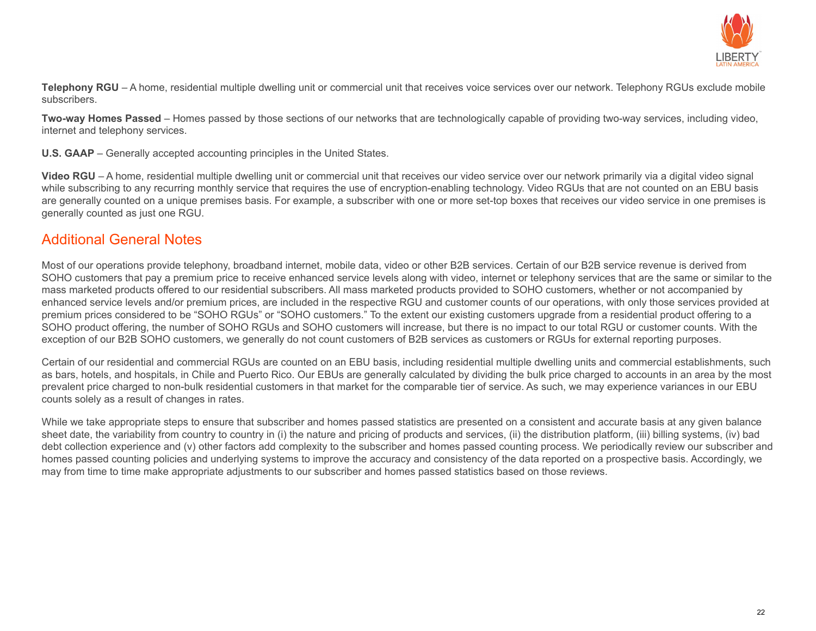

**Telephony RGU** – A home, residential multiple dwelling unit or commercial unit that receives voice services over our network. Telephony RGUs exclude mobile subscribers.

**Two-way Homes Passed** – Homes passed by those sections of our networks that are technologically capable of providing two-way services, including video, internet and telephony services.

**U.S. GAAP** – Generally accepted accounting principles in the United States.

Video RGU – A home, residential multiple dwelling unit or commercial unit that receives our video service over our network primarily via a digital video signal while subscribing to any recurring monthly service that requires the use of encryption-enabling technology. Video RGUs that are not counted on an EBU basis are generally counted on a unique premises basis. For example, a subscriber with one or more set-top boxes that receives our video service in one premises is generally counted as just one RGU.

#### Additional General Notes

Most of our operations provide telephony, broadband internet, mobile data, video or other B2B services. Certain of our B2B service revenue is derived from SOHO customers that pay a premium price to receive enhanced service levels along with video, internet or telephony services that are the same or similar to the mass marketed products offered to our residential subscribers. All mass marketed products provided to SOHO customers, whether or not accompanied by enhanced service levels and/or premium prices, are included in the respective RGU and customer counts of our operations, with only those services provided at premium prices considered to be "SOHO RGUs" or "SOHO customers." To the extent our existing customers upgrade from a residential product offering to a SOHO product offering, the number of SOHO RGUs and SOHO customers will increase, but there is no impact to our total RGU or customer counts. With the exception of our B2B SOHO customers, we generally do not count customers of B2B services as customers or RGUs for external reporting purposes.

Certain of our residential and commercial RGUs are counted on an EBU basis, including residential multiple dwelling units and commercial establishments, such as bars, hotels, and hospitals, in Chile and Puerto Rico. Our EBUs are generally calculated by dividing the bulk price charged to accounts in an area by the most prevalent price charged to non-bulk residential customers in that market for the comparable tier of service. As such, we may experience variances in our EBU counts solely as a result of changes in rates.

While we take appropriate steps to ensure that subscriber and homes passed statistics are presented on a consistent and accurate basis at any given balance sheet date, the variability from country to country in (i) the nature and pricing of products and services, (ii) the distribution platform, (iii) billing systems, (iv) bad debt collection experience and (v) other factors add complexity to the subscriber and homes passed counting process. We periodically review our subscriber and homes passed counting policies and underlying systems to improve the accuracy and consistency of the data reported on a prospective basis. Accordingly, we may from time to time make appropriate adjustments to our subscriber and homes passed statistics based on those reviews.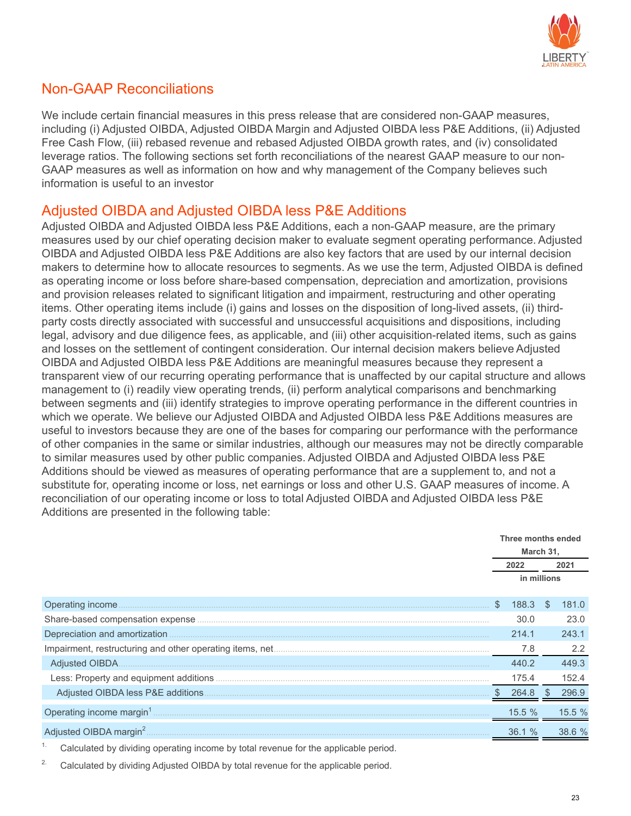

#### Non-GAAP Reconciliations

We include certain financial measures in this press release that are considered non-GAAP measures, including (i) Adjusted OIBDA, Adjusted OIBDA Margin and Adjusted OIBDA less P&E Additions, (ii) Adjusted Free Cash Flow, (iii) rebased revenue and rebased Adjusted OIBDA growth rates, and (iv) consolidated leverage ratios. The following sections set forth reconciliations of the nearest GAAP measure to our non-GAAP measures as well as information on how and why management of the Company believes such information is useful to an investor

#### Adjusted OIBDA and Adjusted OIBDA less P&E Additions

Adjusted OIBDA and Adjusted OIBDA less P&E Additions, each a non-GAAP measure, are the primary measures used by our chief operating decision maker to evaluate segment operating performance. Adjusted OIBDA and Adjusted OIBDA less P&E Additions are also key factors that are used by our internal decision makers to determine how to allocate resources to segments. As we use the term, Adjusted OIBDA is defined as operating income or loss before share-based compensation, depreciation and amortization, provisions and provision releases related to significant litigation and impairment, restructuring and other operating items. Other operating items include (i) gains and losses on the disposition of long-lived assets, (ii) thirdparty costs directly associated with successful and unsuccessful acquisitions and dispositions, including legal, advisory and due diligence fees, as applicable, and (iii) other acquisition-related items, such as gains and losses on the settlement of contingent consideration. Our internal decision makers believe Adjusted OIBDA and Adjusted OIBDA less P&E Additions are meaningful measures because they represent a transparent view of our recurring operating performance that is unaffected by our capital structure and allows management to (i) readily view operating trends, (ii) perform analytical comparisons and benchmarking between segments and (iii) identify strategies to improve operating performance in the different countries in which we operate. We believe our Adjusted OIBDA and Adjusted OIBDA less P&E Additions measures are useful to investors because they are one of the bases for comparing our performance with the performance of other companies in the same or similar industries, although our measures may not be directly comparable to similar measures used by other public companies. Adjusted OIBDA and Adjusted OIBDA less P&E Additions should be viewed as measures of operating performance that are a supplement to, and not a substitute for, operating income or loss, net earnings or loss and other U.S. GAAP measures of income. A reconciliation of our operating income or loss to total Adjusted OIBDA and Adjusted OIBDA less P&E Additions are presented in the following table:

|                  |    | Three months ended<br>March 31, |               |        |
|------------------|----|---------------------------------|---------------|--------|
|                  |    | 2022                            |               | 2021   |
|                  |    | in millions                     |               |        |
| Operating income | S. | 188.3                           | \$.           | 181.0  |
|                  |    | 30.0                            |               | 23.0   |
|                  |    | 214.1                           |               | 243.1  |
|                  |    | 7.8                             |               | 2.2    |
|                  |    | 440.2                           |               | 449.3  |
|                  |    | 175.4                           |               | 152.4  |
|                  |    | 264.8                           | $\mathcal{R}$ | 296.9  |
|                  |    | 15.5 %                          |               | 15.5%  |
|                  |    | 36.1 %                          |               | 38.6 % |

<sup>1.</sup> Calculated by dividing operating income by total revenue for the applicable period.

<sup>2.</sup> Calculated by dividing Adjusted OIBDA by total revenue for the applicable period.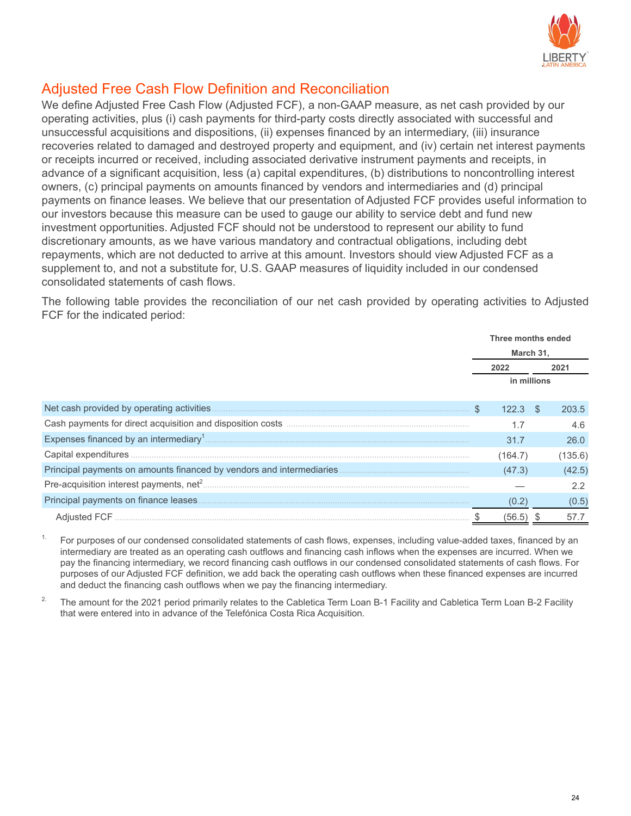

#### Adjusted Free Cash Flow Definition and Reconciliation

We define Adjusted Free Cash Flow (Adjusted FCF), a non-GAAP measure, as net cash provided by our operating activities, plus (i) cash payments for third-party costs directly associated with successful and unsuccessful acquisitions and dispositions, (ii) expenses financed by an intermediary, (iii) insurance recoveries related to damaged and destroyed property and equipment, and (iv) certain net interest payments or receipts incurred or received, including associated derivative instrument payments and receipts, in advance of a significant acquisition, less (a) capital expenditures, (b) distributions to noncontrolling interest owners, (c) principal payments on amounts financed by vendors and intermediaries and (d) principal payments on finance leases. We believe that our presentation of Adjusted FCF provides useful information to our investors because this measure can be used to gauge our ability to service debt and fund new investment opportunities. Adjusted FCF should not be understood to represent our ability to fund discretionary amounts, as we have various mandatory and contractual obligations, including debt repayments, which are not deducted to arrive at this amount. Investors should view Adjusted FCF as a supplement to, and not a substitute for, U.S. GAAP measures of liquidity included in our condensed consolidated statements of cash flows.

The following table provides the reconciliation of our net cash provided by operating activities to Adjusted FCF for the indicated period:

|                                      | Three months ended     |               |               |  |  |
|--------------------------------------|------------------------|---------------|---------------|--|--|
|                                      | March 31,              |               |               |  |  |
|                                      | 2022                   |               | 2021          |  |  |
|                                      |                        | in millions   |               |  |  |
|                                      | $\mathcal{S}$<br>122.3 | <sup>\$</sup> | 203.5         |  |  |
|                                      |                        |               | 4.6           |  |  |
|                                      | 31.7                   |               | 26.0          |  |  |
|                                      | (164.7)                |               | (135.6)       |  |  |
|                                      | (47.3)                 |               | (42.5)        |  |  |
|                                      |                        |               | $2.2^{\circ}$ |  |  |
| Principal payments on finance leases | (0.2)                  |               | (0.5)         |  |  |
| Adiusted FCF                         | (56.5)                 |               | 57.7          |  |  |

1. For purposes of our condensed consolidated statements of cash flows, expenses, including value-added taxes, financed by an intermediary are treated as an operating cash outflows and financing cash inflows when the expenses are incurred. When we pay the financing intermediary, we record financing cash outflows in our condensed consolidated statements of cash flows. For purposes of our Adjusted FCF definition, we add back the operating cash outflows when these financed expenses are incurred and deduct the financing cash outflows when we pay the financing intermediary.

<sup>2.</sup> The amount for the 2021 period primarily relates to the Cabletica Term Loan B-1 Facility and Cabletica Term Loan B-2 Facility that were entered into in advance of the Telefónica Costa Rica Acquisition.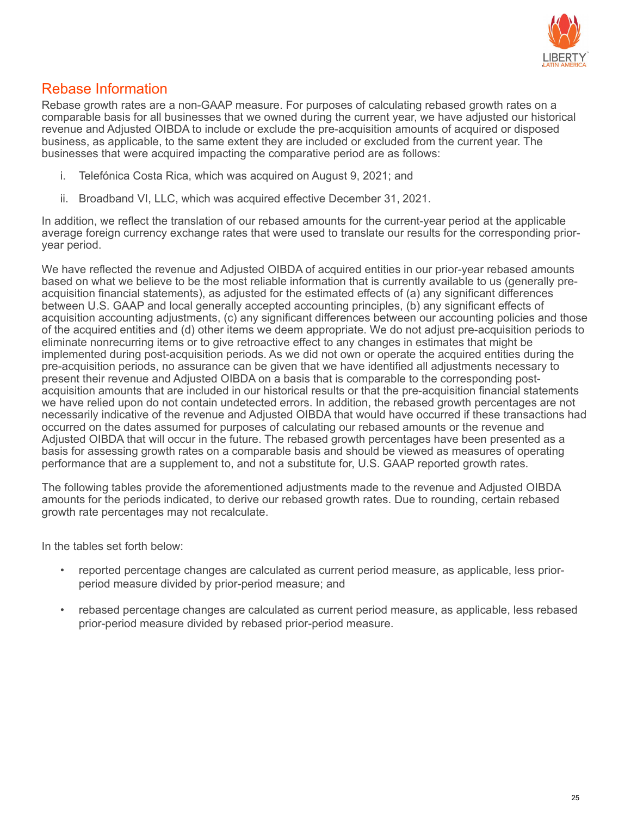

#### Rebase Information

Rebase growth rates are a non-GAAP measure. For purposes of calculating rebased growth rates on a comparable basis for all businesses that we owned during the current year, we have adjusted our historical revenue and Adjusted OIBDA to include or exclude the pre-acquisition amounts of acquired or disposed business, as applicable, to the same extent they are included or excluded from the current year. The businesses that were acquired impacting the comparative period are as follows:

- i. Telefónica Costa Rica, which was acquired on August 9, 2021; and
- ii. Broadband VI, LLC, which was acquired effective December 31, 2021.

In addition, we reflect the translation of our rebased amounts for the current-year period at the applicable average foreign currency exchange rates that were used to translate our results for the corresponding prioryear period.

We have reflected the revenue and Adjusted OIBDA of acquired entities in our prior-year rebased amounts based on what we believe to be the most reliable information that is currently available to us (generally preacquisition financial statements), as adjusted for the estimated effects of (a) any significant differences between U.S. GAAP and local generally accepted accounting principles, (b) any significant effects of acquisition accounting adjustments, (c) any significant differences between our accounting policies and those of the acquired entities and (d) other items we deem appropriate. We do not adjust pre-acquisition periods to eliminate nonrecurring items or to give retroactive effect to any changes in estimates that might be implemented during post-acquisition periods. As we did not own or operate the acquired entities during the pre-acquisition periods, no assurance can be given that we have identified all adjustments necessary to present their revenue and Adjusted OIBDA on a basis that is comparable to the corresponding postacquisition amounts that are included in our historical results or that the pre-acquisition financial statements we have relied upon do not contain undetected errors. In addition, the rebased growth percentages are not necessarily indicative of the revenue and Adjusted OIBDA that would have occurred if these transactions had occurred on the dates assumed for purposes of calculating our rebased amounts or the revenue and Adjusted OIBDA that will occur in the future. The rebased growth percentages have been presented as a basis for assessing growth rates on a comparable basis and should be viewed as measures of operating performance that are a supplement to, and not a substitute for, U.S. GAAP reported growth rates.

The following tables provide the aforementioned adjustments made to the revenue and Adjusted OIBDA amounts for the periods indicated, to derive our rebased growth rates. Due to rounding, certain rebased growth rate percentages may not recalculate.

In the tables set forth below:

- reported percentage changes are calculated as current period measure, as applicable, less priorperiod measure divided by prior-period measure; and
- rebased percentage changes are calculated as current period measure, as applicable, less rebased prior-period measure divided by rebased prior-period measure.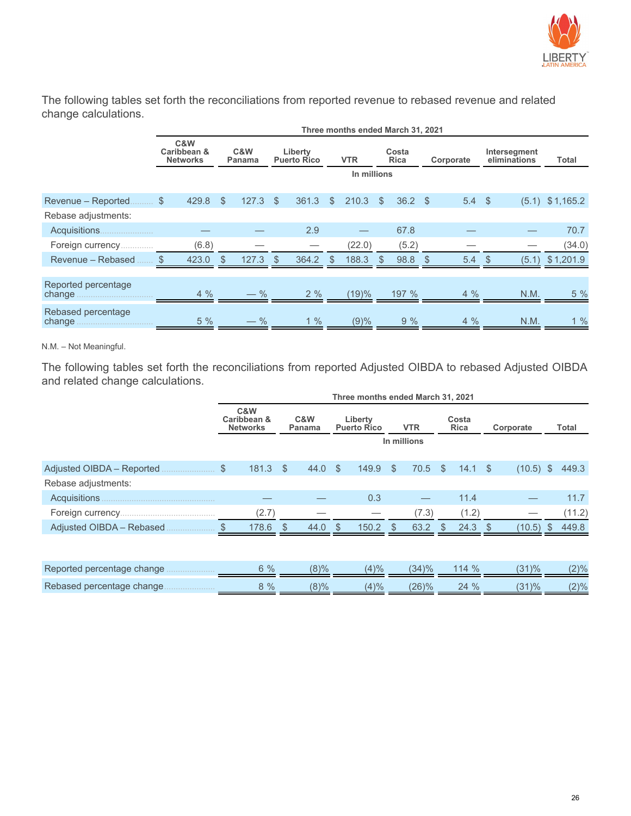

The following tables set forth the reconciliations from reported revenue to rebased revenue and related change calculations.

|                               | Three months ended March 31, 2021     |               |               |       |                               |       |               |             |                      |                |           |                   |                              |       |                   |
|-------------------------------|---------------------------------------|---------------|---------------|-------|-------------------------------|-------|---------------|-------------|----------------------|----------------|-----------|-------------------|------------------------------|-------|-------------------|
|                               | C&W<br>Caribbean &<br><b>Networks</b> | C&W<br>Panama |               |       | Liberty<br><b>Puerto Rico</b> |       | <b>VTR</b>    |             | Costa<br><b>Rica</b> |                | Corporate |                   | Intersegment<br>eliminations |       | Total             |
|                               |                                       |               |               |       |                               |       |               | In millions |                      |                |           |                   |                              |       |                   |
| Revenue - Reported.           | $\mathcal{L}$<br>429.8                |               | $\mathcal{S}$ | 127.3 | $\mathbb{S}$                  | 361.3 | $\mathbb{S}$  | 210.3       | $\mathbb{S}$         | $36.2 \quad $$ |           | $5.4 \text{ } $5$ |                              |       | $(5.1)$ \$1,165.2 |
| Rebase adjustments:           |                                       |               |               |       |                               |       |               |             |                      |                |           |                   |                              |       |                   |
|                               |                                       |               |               |       |                               | 2.9   |               |             |                      | 67.8           |           |                   |                              |       | 70.7              |
| Foreign currency              |                                       | (6.8)         |               |       |                               |       |               | (22.0)      |                      | (5.2)          |           |                   |                              |       | (34.0)            |
| Revenue - Rebased             | 423.0<br>\$                           |               | - \$          | 127.3 | $\mathcal{S}$                 | 364.2 | $\mathcal{S}$ | 188.3       | <sup>S</sup>         | 98.8           |           | 5.4               |                              | (5.1) | \$1,201.9         |
|                               |                                       |               |               |       |                               |       |               |             |                      |                |           |                   |                              |       |                   |
| Reported percentage<br>change |                                       | $4\%$         |               | $-$ % |                               | 2%    |               | (19)%       |                      | 197 %          |           | $4\%$             |                              | N.M.  | 5 %               |
| Rebased percentage            |                                       | 5%            |               | $-$ % |                               | $1\%$ |               | (9)%        |                      | 9%             |           | $4\%$             |                              | N.M.  | 1%                |

N.M. – Not Meaningful.

The following tables set forth the reconciliations from reported Adjusted OIBDA to rebased Adjusted OIBDA and related change calculations.

|                            | Three months ended March 31, 2021                      |                      |                               |                      |                           |             |         |  |  |  |  |  |
|----------------------------|--------------------------------------------------------|----------------------|-------------------------------|----------------------|---------------------------|-------------|---------|--|--|--|--|--|
|                            | C&W<br>Caribbean &<br>C&W<br><b>Networks</b><br>Panama |                      | Liberty<br><b>Puerto Rico</b> | <b>VTR</b>           | Costa<br><b>Rica</b>      | Corporate   | Total   |  |  |  |  |  |
|                            |                                                        |                      |                               | In millions          |                           |             |         |  |  |  |  |  |
|                            | 181.3                                                  | $\mathbb{S}$<br>44.0 | - \$<br>149.9                 | $\mathbb{S}$<br>70.5 | $\sqrt{S}$<br>14.1 S      | $(10.5)$ \$ | 449.3   |  |  |  |  |  |
| Rebase adjustments:        |                                                        |                      |                               |                      |                           |             |         |  |  |  |  |  |
| Acquisitions               |                                                        |                      | 0.3                           |                      | 11.4                      |             | 11.7    |  |  |  |  |  |
|                            | (2.7)                                                  |                      |                               | (7.3)                | (1.2)                     |             | (11.2)  |  |  |  |  |  |
| Adjusted OIBDA - Rebased   | 178.6                                                  | 44.0<br>- \$         | $150.2$ \$<br>- \$            | 63.2                 | $24.3$ \$<br>$\mathbb{S}$ | $(10.5)$ \$ | 449.8   |  |  |  |  |  |
|                            |                                                        |                      |                               |                      |                           |             |         |  |  |  |  |  |
| Reported percentage change | 6%                                                     | $(8)\%$              | $(4)\%$                       | (34)%                | 114%                      | (31)%       | $(2)\%$ |  |  |  |  |  |
| Rebased percentage change  | 8%                                                     | $(8)\%$              | (4)%                          | (26)%                | 24 %                      | (31)%       | (2)%    |  |  |  |  |  |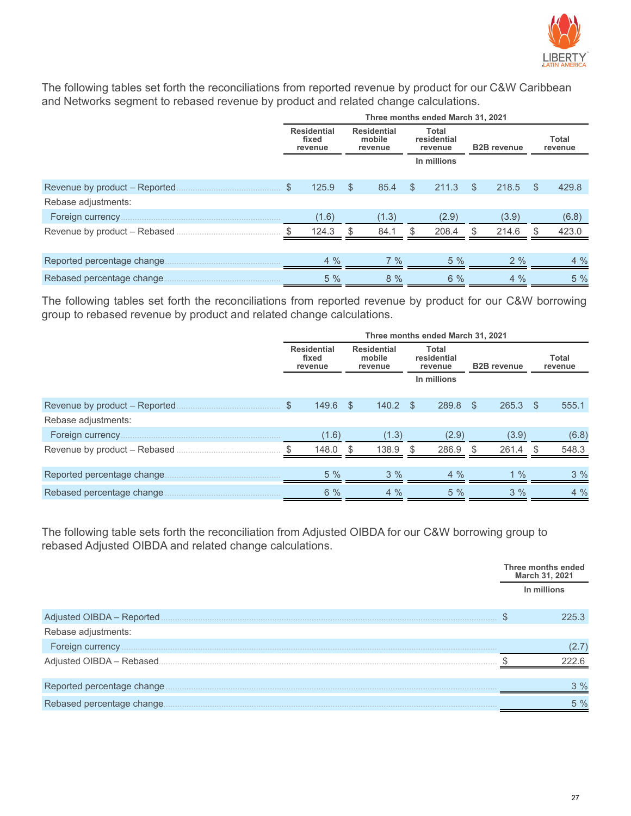

The following tables set forth the reconciliations from reported revenue by product for our C&W Caribbean and Networks segment to rebased revenue by product and related change calculations.

|                             | Three months ended March 31, 2021                                                                                                                 |       |          |                  |              |             |     |       |     |       |  |
|-----------------------------|---------------------------------------------------------------------------------------------------------------------------------------------------|-------|----------|------------------|--------------|-------------|-----|-------|-----|-------|--|
|                             | <b>Residential</b><br><b>Residential</b><br><b>Total</b><br>residential<br>mobile<br>fixed<br><b>B2B</b> revenue<br>revenue<br>revenue<br>revenue |       |          | Total<br>revenue |              |             |     |       |     |       |  |
|                             |                                                                                                                                                   |       |          |                  |              | In millions |     |       |     |       |  |
|                             | \$                                                                                                                                                | 125.9 | \$       | 85.4             | $\mathbb{S}$ | 211.3       | \$  | 218.5 | -S  | 429.8 |  |
| Rebase adjustments:         |                                                                                                                                                   |       |          |                  |              |             |     |       |     |       |  |
|                             |                                                                                                                                                   | (1.6) |          | (1.3)            |              | (2.9)       |     | (3.9) |     | (6.8) |  |
|                             |                                                                                                                                                   | 124.3 | <b>S</b> | 84.1             | \$.          | 208.4       | \$. | 214.6 | \$. | 423.0 |  |
|                             |                                                                                                                                                   |       |          |                  |              |             |     |       |     |       |  |
| Reported percentage change. |                                                                                                                                                   | 4%    |          | $7\%$            |              | $5\%$       |     | $2\%$ |     | 4%    |  |
| Rebased percentage change   |                                                                                                                                                   | 5%    |          | 8%               |              | $6\%$       |     | $4\%$ |     | 5%    |  |

The following tables set forth the reconciliations from reported revenue by product for our C&W borrowing group to rebased revenue by product and related change calculations.

|                                | Three months ended March 31, 2021      |            |                                         |       |    |                                 |  |                    |  |                  |  |  |
|--------------------------------|----------------------------------------|------------|-----------------------------------------|-------|----|---------------------------------|--|--------------------|--|------------------|--|--|
|                                | <b>Residential</b><br>fixed<br>revenue |            | <b>Residential</b><br>mobile<br>revenue |       |    | Total<br>residential<br>revenue |  | <b>B2B</b> revenue |  | Total<br>revenue |  |  |
|                                |                                        |            |                                         |       |    | In millions                     |  |                    |  |                  |  |  |
| Revenue by product - Reported. | \$.                                    | $149.6$ \$ |                                         | 140.2 | -S | 289.8 \$                        |  | $265.3$ \$         |  | 555.1            |  |  |
| Rebase adjustments:            |                                        |            |                                         |       |    |                                 |  |                    |  |                  |  |  |
|                                |                                        | (1.6)      |                                         | (1.3) |    | (2.9)                           |  | (3.9)              |  | (6.8)            |  |  |
| Revenue by product – Rebased   |                                        | 148.0      |                                         | 138.9 |    | 286.9                           |  | 261.4              |  | 548.3            |  |  |
| Reported percentage change.    |                                        | 5%         |                                         | 3%    |    | $4\%$                           |  | $1\%$              |  | 3%               |  |  |
| Rebased percentage change      |                                        | 6%         |                                         | $4\%$ |    | 5%                              |  | 3%                 |  | 4%               |  |  |

The following table sets forth the reconciliation from Adjusted OIBDA for our C&W borrowing group to rebased Adjusted OIBDA and related change calculations.

|                            | Three months ended<br>March 31, 2021 |
|----------------------------|--------------------------------------|
|                            | In millions                          |
| Adjusted OIBDA - Reported  | 225.3                                |
| Rebase adjustments:        |                                      |
|                            | 2.7                                  |
|                            |                                      |
|                            |                                      |
| Reported percentage change | $3\%$                                |
| Rebased percentage change. | 5 %                                  |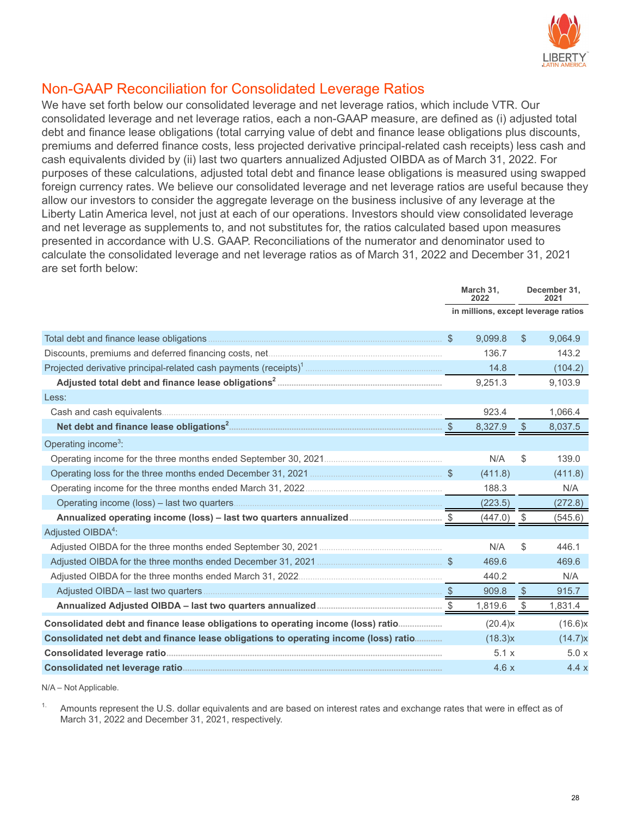

#### Non-GAAP Reconciliation for Consolidated Leverage Ratios

We have set forth below our consolidated leverage and net leverage ratios, which include VTR. Our consolidated leverage and net leverage ratios, each a non-GAAP measure, are defined as (i) adjusted total debt and finance lease obligations (total carrying value of debt and finance lease obligations plus discounts, premiums and deferred finance costs, less projected derivative principal-related cash receipts) less cash and cash equivalents divided by (ii) last two quarters annualized Adjusted OIBDA as of March 31, 2022. For purposes of these calculations, adjusted total debt and finance lease obligations is measured using swapped foreign currency rates. We believe our consolidated leverage and net leverage ratios are useful because they allow our investors to consider the aggregate leverage on the business inclusive of any leverage at the Liberty Latin America level, not just at each of our operations. Investors should view consolidated leverage and net leverage as supplements to, and not substitutes for, the ratios calculated based upon measures presented in accordance with U.S. GAAP. Reconciliations of the numerator and denominator used to calculate the consolidated leverage and net leverage ratios as of March 31, 2022 and December 31, 2021 are set forth below:

|                                                                                      | March 31,<br>2022 |                                     |              | December 31,<br>2021 |
|--------------------------------------------------------------------------------------|-------------------|-------------------------------------|--------------|----------------------|
|                                                                                      |                   | in millions, except leverage ratios |              |                      |
|                                                                                      | $\mathbb{S}$      | 9,099.8                             | $\mathbb{S}$ | 9,064.9              |
|                                                                                      |                   | 136.7                               |              | 143.2                |
|                                                                                      |                   | 14.8                                |              | (104.2)              |
|                                                                                      |                   | 9,251.3                             |              | 9,103.9              |
| Less:                                                                                |                   |                                     |              |                      |
|                                                                                      |                   | 923.4                               |              | 1,066.4              |
|                                                                                      |                   | 8,327.9                             | $\sqrt{3}$   | 8,037.5              |
| Operating income <sup>3</sup> :                                                      |                   |                                     |              |                      |
|                                                                                      |                   | N/A                                 | \$           | 139.0                |
|                                                                                      |                   | (411.8)                             |              | (411.8)              |
|                                                                                      |                   | 188.3                               |              | N/A                  |
|                                                                                      |                   | (223.5)                             |              | (272.8)              |
|                                                                                      |                   | $(447.0)$ \$                        |              | (545.6)              |
| Adjusted OIBDA <sup>4</sup> :                                                        |                   |                                     |              |                      |
|                                                                                      |                   | N/A                                 | \$           | 446.1                |
|                                                                                      |                   | 469.6                               |              | 469.6                |
|                                                                                      |                   | 440.2                               |              | N/A                  |
|                                                                                      |                   | 909.8                               | $\sqrt{2}$   | 915.7                |
|                                                                                      |                   | 1,819.6                             | \$           | 1,831.4              |
| Consolidated debt and finance lease obligations to operating income (loss) ratio     |                   | (20.4)x                             |              | (16.6)x              |
| Consolidated net debt and finance lease obligations to operating income (loss) ratio |                   | (18.3)x                             |              | (14.7)x              |
|                                                                                      |                   | 5.1x                                |              | 5.0x                 |
|                                                                                      |                   | 4.6x                                |              | 4.4x                 |

N/A – Not Applicable.

Amounts represent the U.S. dollar equivalents and are based on interest rates and exchange rates that were in effect as of March 31, 2022 and December 31, 2021, respectively.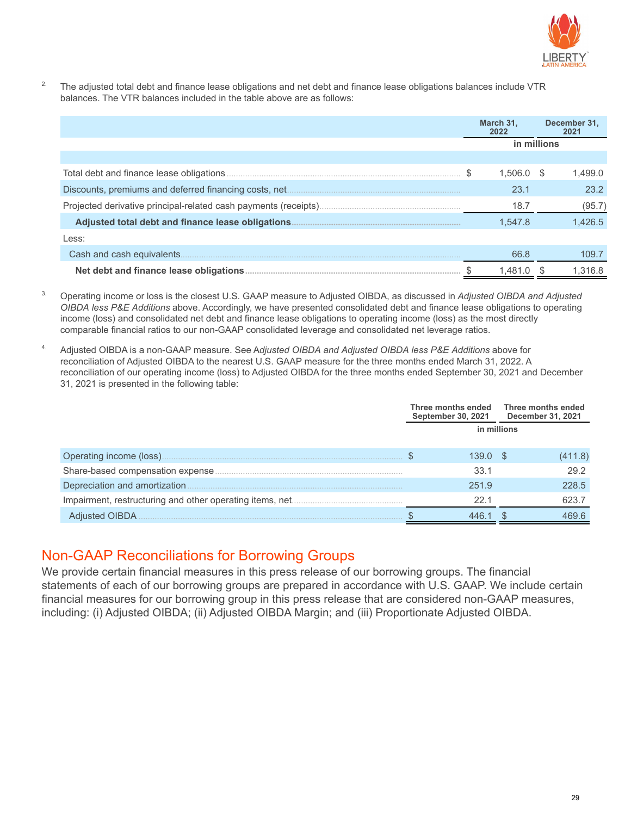

<sup>2.</sup> The adjusted total debt and finance lease obligations and net debt and finance lease obligations balances include VTR balances. The VTR balances included in the table above are as follows:

|                           | March 31.<br>2022 |              | December 31,<br>2021 |         |  |
|---------------------------|-------------------|--------------|----------------------|---------|--|
|                           |                   | in millions  |                      |         |  |
|                           |                   |              |                      |         |  |
|                           |                   | $1.506.0$ \$ |                      | 1.499.0 |  |
|                           |                   | 23.1         |                      | 23.2    |  |
|                           |                   | 18.7         |                      | (95.7)  |  |
|                           |                   | 1.547.8      |                      | 1.426.5 |  |
| Less:                     |                   |              |                      |         |  |
| Cash and cash equivalents |                   | 66.8         |                      | 109.7   |  |
|                           |                   | 1.481.0      |                      | 1.316.8 |  |

- 3. Operating income or loss is the closest U.S. GAAP measure to Adjusted OIBDA, as discussed in *Adjusted OIBDA and Adjusted OIBDA less P&E Additions* above. Accordingly, we have presented consolidated debt and finance lease obligations to operating income (loss) and consolidated net debt and finance lease obligations to operating income (loss) as the most directly comparable financial ratios to our non-GAAP consolidated leverage and consolidated net leverage ratios.
- 4. Adjusted OIBDA is a non-GAAP measure. See A*djusted OIBDA and Adjusted OIBDA less P&E Additions* above for reconciliation of Adjusted OIBDA to the nearest U.S. GAAP measure for the three months ended March 31, 2022. A reconciliation of our operating income (loss) to Adjusted OIBDA for the three months ended September 30, 2021 and December 31, 2021 is presented in the following table:

|                               |             | Three months ended<br><b>September 30, 2021</b> |  | Three months ended<br>December 31, 2021 |
|-------------------------------|-------------|-------------------------------------------------|--|-----------------------------------------|
|                               | in millions |                                                 |  |                                         |
| Operating income (loss)       |             | 139.0                                           |  | (411.8)                                 |
|                               |             | 33.1                                            |  | 29.2                                    |
| Depreciation and amortization |             | 251.9                                           |  | 228.5                                   |
|                               |             | 22.1                                            |  | 623.7                                   |
| <b>Adjusted OIBDA</b>         |             |                                                 |  | 469.6                                   |

#### Non-GAAP Reconciliations for Borrowing Groups

We provide certain financial measures in this press release of our borrowing groups. The financial statements of each of our borrowing groups are prepared in accordance with U.S. GAAP. We include certain financial measures for our borrowing group in this press release that are considered non-GAAP measures, including: (i) Adjusted OIBDA; (ii) Adjusted OIBDA Margin; and (iii) Proportionate Adjusted OIBDA.